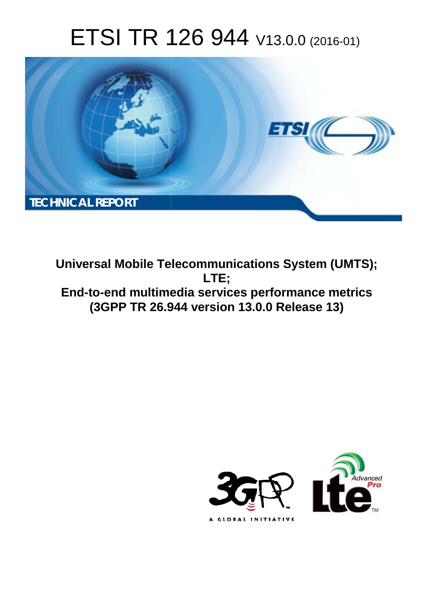# ETSI TR 126 944 V13.0.0 (2016-01)



**Universal Mobile Tel elecommunications System ( (UMTS); End-to-end multime media services performance m metrics (3GPP TR 26.9 .944 version 13.0.0 Release 13 13) LTE;** 

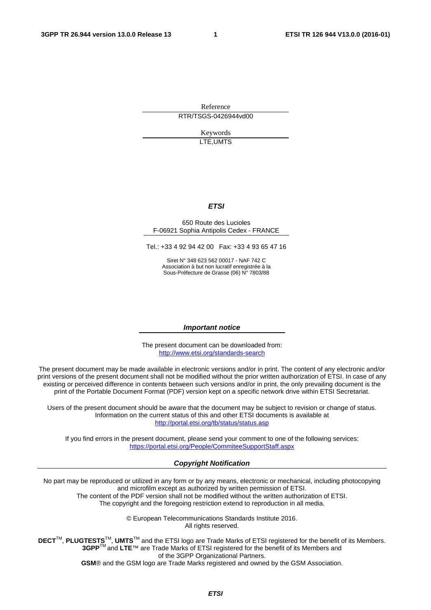Reference RTR/TSGS-0426944vd00

> Keywords LTE,UMTS

#### *ETSI*

#### 650 Route des Lucioles F-06921 Sophia Antipolis Cedex - FRANCE

Tel.: +33 4 92 94 42 00 Fax: +33 4 93 65 47 16

Siret N° 348 623 562 00017 - NAF 742 C Association à but non lucratif enregistrée à la Sous-Préfecture de Grasse (06) N° 7803/88

#### *Important notice*

The present document can be downloaded from: <http://www.etsi.org/standards-search>

The present document may be made available in electronic versions and/or in print. The content of any electronic and/or print versions of the present document shall not be modified without the prior written authorization of ETSI. In case of any existing or perceived difference in contents between such versions and/or in print, the only prevailing document is the print of the Portable Document Format (PDF) version kept on a specific network drive within ETSI Secretariat.

Users of the present document should be aware that the document may be subject to revision or change of status. Information on the current status of this and other ETSI documents is available at <http://portal.etsi.org/tb/status/status.asp>

If you find errors in the present document, please send your comment to one of the following services: <https://portal.etsi.org/People/CommiteeSupportStaff.aspx>

#### *Copyright Notification*

No part may be reproduced or utilized in any form or by any means, electronic or mechanical, including photocopying and microfilm except as authorized by written permission of ETSI.

The content of the PDF version shall not be modified without the written authorization of ETSI. The copyright and the foregoing restriction extend to reproduction in all media.

> © European Telecommunications Standards Institute 2016. All rights reserved.

**DECT**TM, **PLUGTESTS**TM, **UMTS**TM and the ETSI logo are Trade Marks of ETSI registered for the benefit of its Members. **3GPP**TM and **LTE**™ are Trade Marks of ETSI registered for the benefit of its Members and of the 3GPP Organizational Partners.

**GSM**® and the GSM logo are Trade Marks registered and owned by the GSM Association.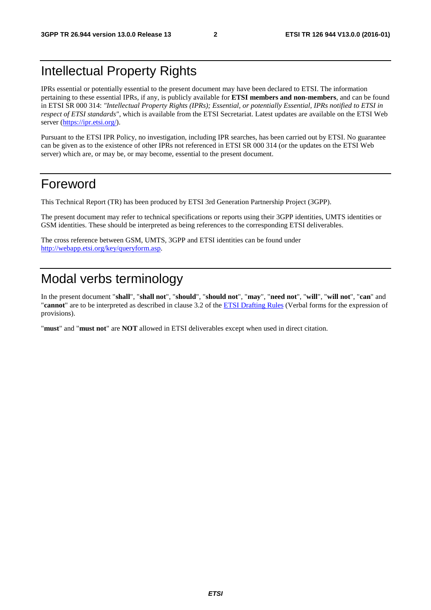## Intellectual Property Rights

IPRs essential or potentially essential to the present document may have been declared to ETSI. The information pertaining to these essential IPRs, if any, is publicly available for **ETSI members and non-members**, and can be found in ETSI SR 000 314: *"Intellectual Property Rights (IPRs); Essential, or potentially Essential, IPRs notified to ETSI in respect of ETSI standards"*, which is available from the ETSI Secretariat. Latest updates are available on the ETSI Web server [\(https://ipr.etsi.org/](https://ipr.etsi.org/)).

Pursuant to the ETSI IPR Policy, no investigation, including IPR searches, has been carried out by ETSI. No guarantee can be given as to the existence of other IPRs not referenced in ETSI SR 000 314 (or the updates on the ETSI Web server) which are, or may be, or may become, essential to the present document.

## Foreword

This Technical Report (TR) has been produced by ETSI 3rd Generation Partnership Project (3GPP).

The present document may refer to technical specifications or reports using their 3GPP identities, UMTS identities or GSM identities. These should be interpreted as being references to the corresponding ETSI deliverables.

The cross reference between GSM, UMTS, 3GPP and ETSI identities can be found under <http://webapp.etsi.org/key/queryform.asp>.

## Modal verbs terminology

In the present document "**shall**", "**shall not**", "**should**", "**should not**", "**may**", "**need not**", "**will**", "**will not**", "**can**" and "**cannot**" are to be interpreted as described in clause 3.2 of the [ETSI Drafting Rules](http://portal.etsi.org/Help/editHelp!/Howtostart/ETSIDraftingRules.aspx) (Verbal forms for the expression of provisions).

"**must**" and "**must not**" are **NOT** allowed in ETSI deliverables except when used in direct citation.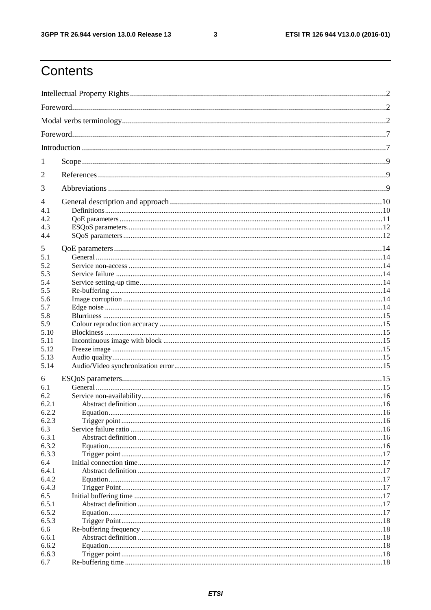$\mathbf{3}$ 

## Contents

| 1     |  |
|-------|--|
| 2     |  |
| 3     |  |
| 4     |  |
| 4.1   |  |
| 4.2   |  |
| 4.3   |  |
| 4.4   |  |
|       |  |
| 5     |  |
| 5.1   |  |
| 5.2   |  |
| 5.3   |  |
| 5.4   |  |
| 5.5   |  |
|       |  |
| 5.6   |  |
| 5.7   |  |
| 5.8   |  |
| 5.9   |  |
| 5.10  |  |
| 5.11  |  |
| 5.12  |  |
| 5.13  |  |
| 5.14  |  |
| 6     |  |
| 6.1   |  |
| 6.2   |  |
| 6.2.1 |  |
| 6.2.2 |  |
| 6.2.3 |  |
| 6.3   |  |
| 6.3.1 |  |
| 6.3.2 |  |
| 6.3.3 |  |
|       |  |
| 6.4   |  |
| 6.4.1 |  |
| 6.4.2 |  |
| 6.4.3 |  |
| 6.5   |  |
| 6.5.1 |  |
| 6.5.2 |  |
| 6.5.3 |  |
| 6.6   |  |
| 6.6.1 |  |
| 6.6.2 |  |
|       |  |
| 6.6.3 |  |
| 6.7   |  |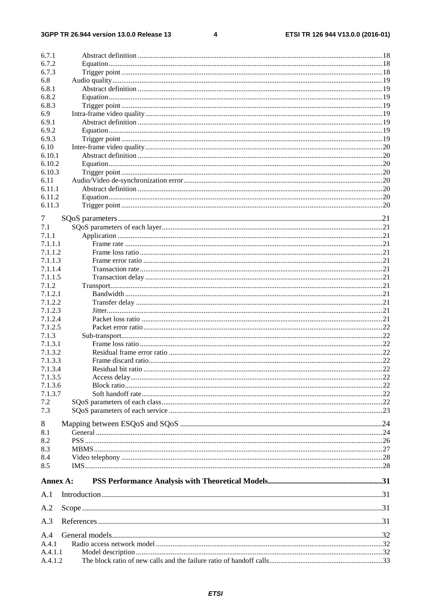#### $\overline{\mathbf{4}}$

| 6.7.1      |    |
|------------|----|
| 6.7.2      |    |
| 6.7.3      |    |
| 6.8        |    |
| 6.8.1      |    |
| 6.8.2      |    |
| 6.8.3      |    |
| 6.9        |    |
| 6.9.1      |    |
| 6.9.2      |    |
| 6.9.3      |    |
| 6.10       |    |
| 6.10.1     |    |
| 6.10.2     |    |
| 6.10.3     |    |
| 6.11       |    |
| 6.11.1     |    |
| 6.11.2     |    |
| 6.11.3     |    |
|            |    |
| 7          |    |
| 7.1        |    |
| 7.1.1      |    |
| 7.1.1.1    |    |
| 7.1.1.2    |    |
| 7.1.1.3    |    |
| 7.1.1.4    |    |
| 7.1.1.5    |    |
| 7.1.2      |    |
| 7.1.2.1    |    |
| 7.1.2.2    |    |
| 7.1.2.3    |    |
| 7.1.2.4    |    |
| 7.1.2.5    |    |
| 7.1.3      |    |
| 7.1.3.1    |    |
| 7.1.3.2    |    |
| 7.1.3.3    |    |
| 7.1.3.4    |    |
| 7.1.3.5    |    |
| 7.1.3.6    |    |
| 7.1.3.7    |    |
| 7.2        |    |
| 7.3        |    |
| 8          |    |
| 8.1        |    |
| 8.2        |    |
| 8.3        |    |
|            |    |
| 8.4<br>8.5 |    |
|            |    |
| Annex A:   |    |
|            |    |
| A.1        |    |
| A.2        |    |
| A.3        |    |
| A.4        |    |
| A.4.1      |    |
| A.4.1.1    |    |
| A.4.1.2    | 33 |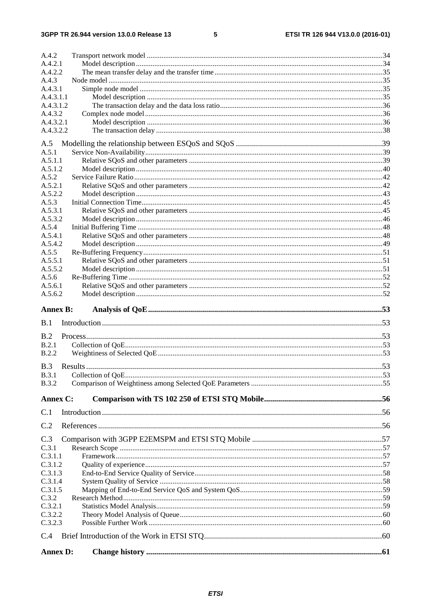#### $5\phantom{a}$

| A.4.2                  |  |
|------------------------|--|
| A.4.2.1                |  |
| A.4.2.2                |  |
| A.4.3                  |  |
| A.4.3.1                |  |
| A.4.3.1.1              |  |
| A.4.3.1.2              |  |
| A.4.3.2<br>A.4.3.2.1   |  |
| A.4.3.2.2              |  |
|                        |  |
| A.5                    |  |
| A.5.1                  |  |
| A.5.1.1                |  |
| A.5.1.2                |  |
| A.5.2<br>A.5.2.1       |  |
| A.5.2.2                |  |
| A.5.3                  |  |
| A.5.3.1                |  |
| A.5.3.2                |  |
| A.5.4                  |  |
| A.5.4.1                |  |
| A.5.4.2                |  |
| A.5.5                  |  |
| A.5.5.1                |  |
| A.5.5.2                |  |
| A.5.6<br>A.5.6.1       |  |
| A.5.6.2                |  |
|                        |  |
|                        |  |
| <b>Annex B:</b>        |  |
| B.1                    |  |
|                        |  |
| B.2                    |  |
| B.2.1                  |  |
| <b>B.2.2</b>           |  |
| B.3                    |  |
| <b>B.3.1</b>           |  |
| <b>B.3.2</b>           |  |
|                        |  |
| Annex C:               |  |
| C.1                    |  |
|                        |  |
| C.2                    |  |
| C.3                    |  |
| C.3.1                  |  |
| C.3.1.1                |  |
| C.3.1.2                |  |
| C.3.1.3                |  |
| C.3.1.4                |  |
| C.3.1.5<br>C.3.2       |  |
| C.3.2.1                |  |
| C.3.2.2                |  |
| C.3.2.3                |  |
|                        |  |
| C.4<br><b>Annex D:</b> |  |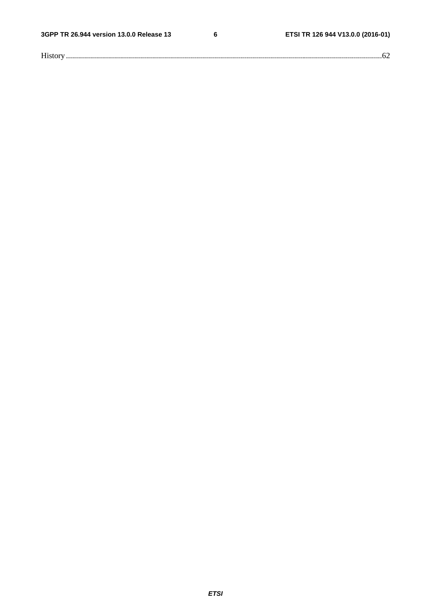$\bf 6$ 

| <b>TT</b> |
|-----------|
|-----------|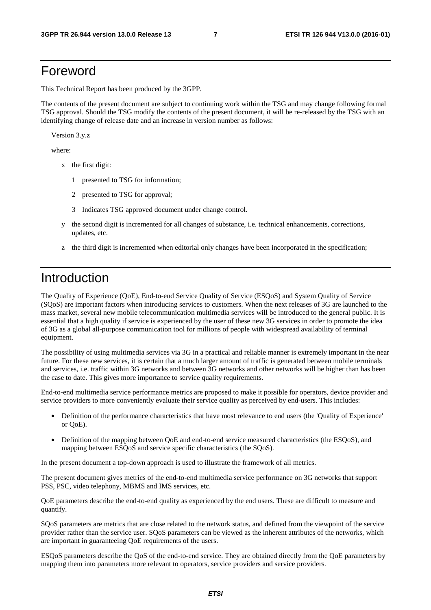## Foreword

This Technical Report has been produced by the 3GPP.

The contents of the present document are subject to continuing work within the TSG and may change following formal TSG approval. Should the TSG modify the contents of the present document, it will be re-released by the TSG with an identifying change of release date and an increase in version number as follows:

Version 3.y.z

where:

- x the first digit:
	- 1 presented to TSG for information;
	- 2 presented to TSG for approval;
	- 3 Indicates TSG approved document under change control.
- y the second digit is incremented for all changes of substance, i.e. technical enhancements, corrections, updates, etc.
- z the third digit is incremented when editorial only changes have been incorporated in the specification;

## Introduction

The Quality of Experience (QoE), End-to-end Service Quality of Service (ESQoS) and System Quality of Service (SQoS) are important factors when introducing services to customers. When the next releases of 3G are launched to the mass market, several new mobile telecommunication multimedia services will be introduced to the general public. It is essential that a high quality if service is experienced by the user of these new 3G services in order to promote the idea of 3G as a global all-purpose communication tool for millions of people with widespread availability of terminal equipment.

The possibility of using multimedia services via 3G in a practical and reliable manner is extremely important in the near future. For these new services, it is certain that a much larger amount of traffic is generated between mobile terminals and services, i.e. traffic within 3G networks and between 3G networks and other networks will be higher than has been the case to date. This gives more importance to service quality requirements.

End-to-end multimedia service performance metrics are proposed to make it possible for operators, device provider and service providers to more conveniently evaluate their service quality as perceived by end-users. This includes:

- Definition of the performance characteristics that have most relevance to end users (the 'Quality of Experience' or QoE).
- Definition of the mapping between QoE and end-to-end service measured characteristics (the ESQoS), and mapping between ESQoS and service specific characteristics (the SQoS).

In the present document a top-down approach is used to illustrate the framework of all metrics.

The present document gives metrics of the end-to-end multimedia service performance on 3G networks that support PSS, PSC, video telephony, MBMS and IMS services, etc.

QoE parameters describe the end-to-end quality as experienced by the end users. These are difficult to measure and quantify.

SQoS parameters are metrics that are close related to the network status, and defined from the viewpoint of the service provider rather than the service user. SQoS parameters can be viewed as the inherent attributes of the networks, which are important in guaranteeing QoE requirements of the users.

ESQoS parameters describe the QoS of the end-to-end service. They are obtained directly from the QoE parameters by mapping them into parameters more relevant to operators, service providers and service providers.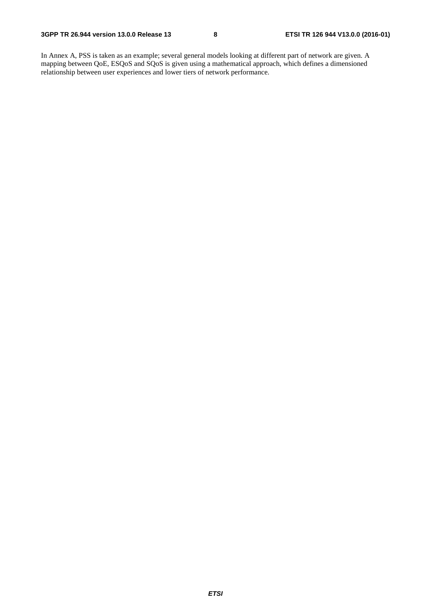In Annex A, PSS is taken as an example; several general models looking at different part of network are given. A mapping between QoE, ESQoS and SQoS is given using a mathematical approach, which defines a dimensioned relationship between user experiences and lower tiers of network performance.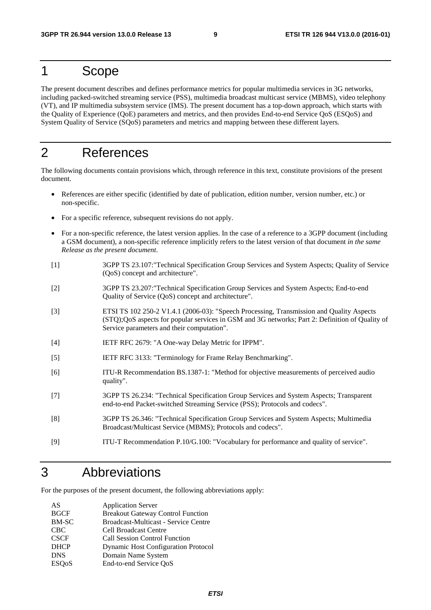## 1 Scope

The present document describes and defines performance metrics for popular multimedia services in 3G networks, including packed-switched streaming service (PSS), multimedia broadcast multicast service (MBMS), video telephony (VT), and IP multimedia subsystem service (IMS). The present document has a top-down approach, which starts with the Quality of Experience (QoE) parameters and metrics, and then provides End-to-end Service QoS (ESQoS) and System Quality of Service (SQoS) parameters and metrics and mapping between these different layers.

## 2 References

The following documents contain provisions which, through reference in this text, constitute provisions of the present document.

- References are either specific (identified by date of publication, edition number, version number, etc.) or non-specific.
- For a specific reference, subsequent revisions do not apply.
- For a non-specific reference, the latest version applies. In the case of a reference to a 3GPP document (including a GSM document), a non-specific reference implicitly refers to the latest version of that document *in the same Release as the present document*.
- [1] 3GPP TS 23.107:"Technical Specification Group Services and System Aspects; Quality of Service (QoS) concept and architecture".
- [2] 3GPP TS 23.207:"Technical Specification Group Services and System Aspects; End-to-end Quality of Service (QoS) concept and architecture".
- [3] ETSI TS 102 250-2 V1.4.1 (2006-03): "Speech Processing, Transmission and Quality Aspects (STQ);QoS aspects for popular services in GSM and 3G networks; Part 2: Definition of Quality of Service parameters and their computation".
- [4] IETF RFC 2679: "A One-way Delay Metric for IPPM".
- [5] IETF RFC 3133: "Terminology for Frame Relay Benchmarking".
- [6] ITU-R Recommendation BS.1387-1: "Method for objective measurements of perceived audio quality".
- [7] 3GPP TS 26.234: "Technical Specification Group Services and System Aspects; Transparent end-to-end Packet-switched Streaming Service (PSS); Protocols and codecs".
- [8] 3GPP TS 26.346: "Technical Specification Group Services and System Aspects; Multimedia Broadcast/Multicast Service (MBMS); Protocols and codecs".
- [9] ITU-T Recommendation P.10/G.100: "Vocabulary for performance and quality of service".

## 3 Abbreviations

For the purposes of the present document, the following abbreviations apply:

| AS                        | <b>Application Server</b>                  |
|---------------------------|--------------------------------------------|
| <b>BGCF</b>               | <b>Breakout Gateway Control Function</b>   |
| <b>BM-SC</b>              | Broadcast-Multicast - Service Centre       |
| <b>CBC</b>                | <b>Cell Broadcast Centre</b>               |
| <b>CSCF</b>               | <b>Call Session Control Function</b>       |
| <b>DHCP</b>               | <b>Dynamic Host Configuration Protocol</b> |
| <b>DNS</b>                | Domain Name System                         |
| <b>ESO</b> <sub>o</sub> S | End-to-end Service QoS                     |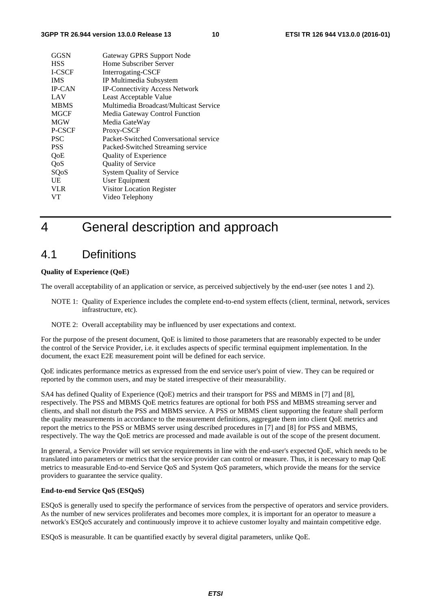| GGSN          | Gateway GPRS Support Node              |
|---------------|----------------------------------------|
| <b>HSS</b>    | Home Subscriber Server                 |
| <b>I-CSCF</b> | Interrogating-CSCF                     |
| <b>IMS</b>    | IP Multimedia Subsystem                |
| <b>IP-CAN</b> | <b>IP-Connectivity Access Network</b>  |
| LAV           | Least Acceptable Value                 |
| <b>MBMS</b>   | Multimedia Broadcast/Multicast Service |
| <b>MGCF</b>   | Media Gateway Control Function         |
| <b>MGW</b>    | Media GateWay                          |
| P-CSCF        | Proxy-CSCF                             |
| <b>PSC</b>    | Packet-Switched Conversational service |
| <b>PSS</b>    | Packed-Switched Streaming service      |
| QoE           | Quality of Experience                  |
| <b>OoS</b>    | Quality of Service                     |
| SQoS          | <b>System Quality of Service</b>       |
| UE            | User Equipment                         |
| <b>VLR</b>    | Visitor Location Register              |
| VT            | Video Telephony                        |

## 4 General description and approach

### 4.1 Definitions

#### **Quality of Experience (QoE)**

The overall acceptability of an application or service, as perceived subjectively by the end-user (see notes 1 and 2).

- NOTE 1: Quality of Experience includes the complete end-to-end system effects (client, terminal, network, services infrastructure, etc).
- NOTE 2: Overall acceptability may be influenced by user expectations and context.

For the purpose of the present document, QoE is limited to those parameters that are reasonably expected to be under the control of the Service Provider, i.e. it excludes aspects of specific terminal equipment implementation. In the document, the exact E2E measurement point will be defined for each service.

QoE indicates performance metrics as expressed from the end service user's point of view. They can be required or reported by the common users, and may be stated irrespective of their measurability.

SA4 has defined Quality of Experience (QoE) metrics and their transport for PSS and MBMS in [7] and [8], respectively. The PSS and MBMS QoE metrics features are optional for both PSS and MBMS streaming server and clients, and shall not disturb the PSS and MBMS service. A PSS or MBMS client supporting the feature shall perform the quality measurements in accordance to the measurement definitions, aggregate them into client QoE metrics and report the metrics to the PSS or MBMS server using described procedures in [7] and [8] for PSS and MBMS, respectively. The way the QoE metrics are processed and made available is out of the scope of the present document.

In general, a Service Provider will set service requirements in line with the end-user's expected QoE, which needs to be translated into parameters or metrics that the service provider can control or measure. Thus, it is necessary to map QoE metrics to measurable End-to-end Service QoS and System QoS parameters, which provide the means for the service providers to guarantee the service quality.

#### **End-to-end Service QoS (ESQoS)**

ESQoS is generally used to specify the performance of services from the perspective of operators and service providers. As the number of new services proliferates and becomes more complex, it is important for an operator to measure a network's ESQoS accurately and continuously improve it to achieve customer loyalty and maintain competitive edge.

ESQoS is measurable. It can be quantified exactly by several digital parameters, unlike QoE.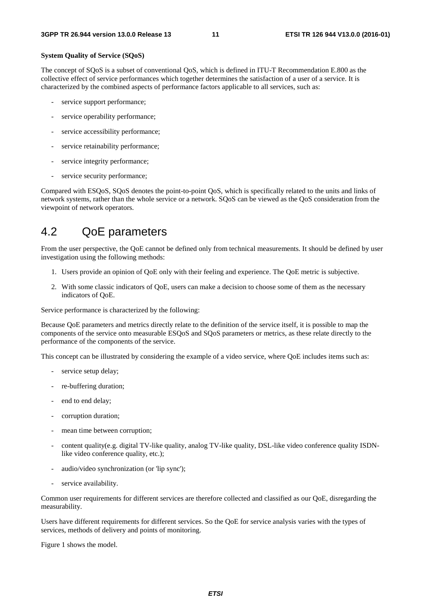#### **System Quality of Service (SQoS)**

The concept of SQoS is a subset of conventional QoS, which is defined in ITU-T Recommendation E.800 as the collective effect of service performances which together determines the satisfaction of a user of a service. It is characterized by the combined aspects of performance factors applicable to all services, such as:

- service support performance;
- service operability performance;
- service accessibility performance;
- service retainability performance;
- service integrity performance;
- service security performance;

Compared with ESQoS, SQoS denotes the point-to-point QoS, which is specifically related to the units and links of network systems, rather than the whole service or a network. SQoS can be viewed as the QoS consideration from the viewpoint of network operators.

## 4.2 QoE parameters

From the user perspective, the QoE cannot be defined only from technical measurements. It should be defined by user investigation using the following methods:

- 1. Users provide an opinion of QoE only with their feeling and experience. The QoE metric is subjective.
- 2. With some classic indicators of QoE, users can make a decision to choose some of them as the necessary indicators of QoE.

Service performance is characterized by the following:

Because QoE parameters and metrics directly relate to the definition of the service itself, it is possible to map the components of the service onto measurable ESQoS and SQoS parameters or metrics, as these relate directly to the performance of the components of the service.

This concept can be illustrated by considering the example of a video service, where QoE includes items such as:

- service setup delay;
- re-buffering duration:
- end to end delay;
- corruption duration;
- mean time between corruption;
- content quality(e.g. digital TV-like quality, analog TV-like quality, DSL-like video conference quality ISDNlike video conference quality, etc.);
- audio/video synchronization (or 'lip sync');
- service availability.

Common user requirements for different services are therefore collected and classified as our QoE, disregarding the measurability.

Users have different requirements for different services. So the QoE for service analysis varies with the types of services, methods of delivery and points of monitoring.

Figure 1 shows the model.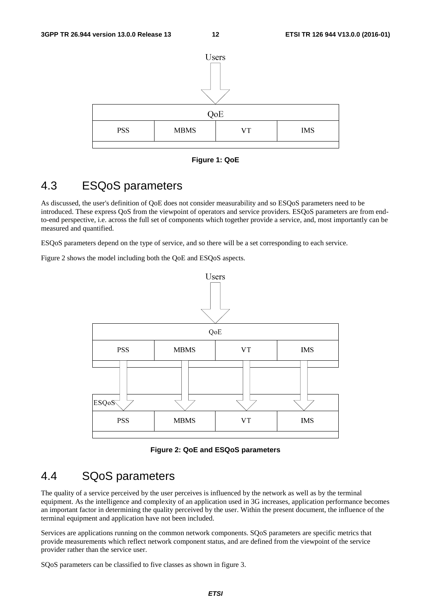

**Figure 1: QoE** 

## 4.3 ESQoS parameters

As discussed, the user's definition of QoE does not consider measurability and so ESQoS parameters need to be introduced. These express QoS from the viewpoint of operators and service providers. ESQoS parameters are from endto-end perspective, i.e. across the full set of components which together provide a service, and, most importantly can be measured and quantified.

ESQoS parameters depend on the type of service, and so there will be a set corresponding to each service.

Figure 2 shows the model including both the QoE and ESQoS aspects.



**Figure 2: QoE and ESQoS parameters** 

## 4.4 SQoS parameters

The quality of a service perceived by the user perceives is influenced by the network as well as by the terminal equipment. As the intelligence and complexity of an application used in 3G increases, application performance becomes an important factor in determining the quality perceived by the user. Within the present document, the influence of the terminal equipment and application have not been included.

Services are applications running on the common network components. SQoS parameters are specific metrics that provide measurements which reflect network component status, and are defined from the viewpoint of the service provider rather than the service user.

SQoS parameters can be classified to five classes as shown in figure 3.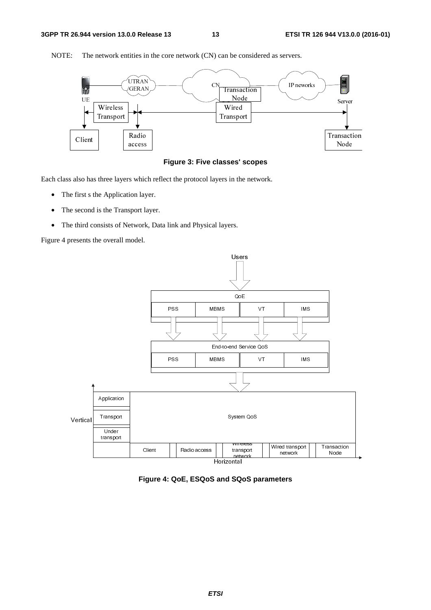

NOTE: The network entities in the core network (CN) can be considered as servers.



Each class also has three layers which reflect the protocol layers in the network.

- The first s the Application layer.
- The second is the Transport layer.
- The third consists of Network, Data link and Physical layers.

Figure 4 presents the overall model.



**Figure 4: QoE, ESQoS and SQoS parameters**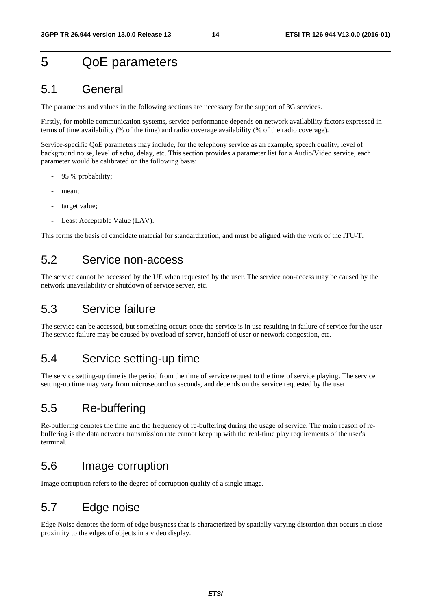## 5 QoE parameters

### 5.1 General

The parameters and values in the following sections are necessary for the support of 3G services.

Firstly, for mobile communication systems, service performance depends on network availability factors expressed in terms of time availability (% of the time) and radio coverage availability (% of the radio coverage).

Service-specific QoE parameters may include, for the telephony service as an example, speech quality, level of background noise, level of echo, delay, etc. This section provides a parameter list for a Audio/Video service, each parameter would be calibrated on the following basis:

- 95 % probability;
- mean;
- target value:
- Least Acceptable Value (LAV).

This forms the basis of candidate material for standardization, and must be aligned with the work of the ITU-T.

## 5.2 Service non-access

The service cannot be accessed by the UE when requested by the user. The service non-access may be caused by the network unavailability or shutdown of service server, etc.

## 5.3 Service failure

The service can be accessed, but something occurs once the service is in use resulting in failure of service for the user. The service failure may be caused by overload of server, handoff of user or network congestion, etc.

### 5.4 Service setting-up time

The service setting-up time is the period from the time of service request to the time of service playing. The service setting-up time may vary from microsecond to seconds, and depends on the service requested by the user.

## 5.5 Re-buffering

Re-buffering denotes the time and the frequency of re-buffering during the usage of service. The main reason of rebuffering is the data network transmission rate cannot keep up with the real-time play requirements of the user's terminal.

### 5.6 Image corruption

Image corruption refers to the degree of corruption quality of a single image.

## 5.7 Edge noise

Edge Noise denotes the form of edge busyness that is characterized by spatially varying distortion that occurs in close proximity to the edges of objects in a video display.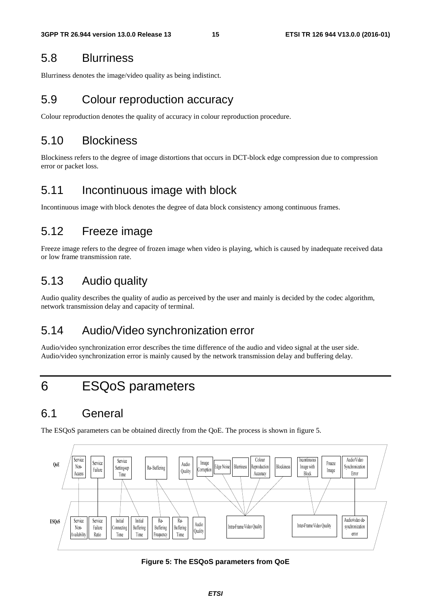## 5.8 Blurriness

Blurriness denotes the image/video quality as being indistinct.

## 5.9 Colour reproduction accuracy

Colour reproduction denotes the quality of accuracy in colour reproduction procedure.

## 5.10 Blockiness

Blockiness refers to the degree of image distortions that occurs in DCT-block edge compression due to compression error or packet loss.

## 5.11 Incontinuous image with block

Incontinuous image with block denotes the degree of data block consistency among continuous frames.

## 5.12 Freeze image

Freeze image refers to the degree of frozen image when video is playing, which is caused by inadequate received data or low frame transmission rate.

## 5.13 Audio quality

Audio quality describes the quality of audio as perceived by the user and mainly is decided by the codec algorithm, network transmission delay and capacity of terminal.

## 5.14 Audio/Video synchronization error

Audio/video synchronization error describes the time difference of the audio and video signal at the user side. Audio/video synchronization error is mainly caused by the network transmission delay and buffering delay.

## 6 ESQoS parameters

## 6.1 General

The ESQoS parameters can be obtained directly from the QoE. The process is shown in figure 5.



#### **Figure 5: The ESQoS parameters from QoE**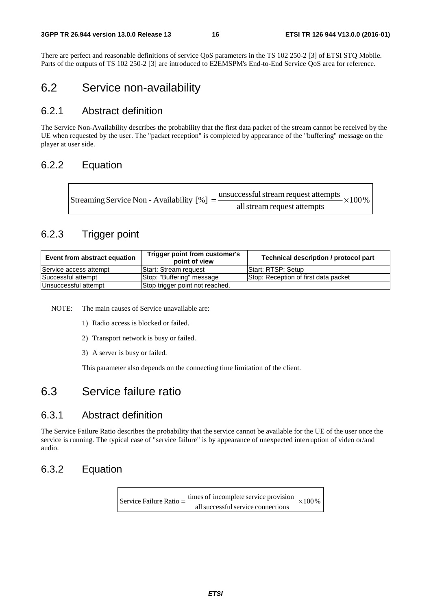There are perfect and reasonable definitions of service QoS parameters in the TS 102 250-2 [3] of ETSI STQ Mobile. Parts of the outputs of TS 102 250-2 [3] are introduced to E2EMSPM's End-to-End Service QoS area for reference.

## 6.2 Service non-availability

### 6.2.1 Abstract definition

The Service Non-Availability describes the probability that the first data packet of the stream cannot be received by the UE when requested by the user. The "packet reception" is completed by appearance of the "buffering" message on the player at user side.

### 6.2.2 Equation

| Streaming Service Non - Availability [%] = $\frac{\text{unsuccessful stream request attempts}}{\text{}}$ × 100 % |  |
|------------------------------------------------------------------------------------------------------------------|--|
| all stream request attempts                                                                                      |  |

## 6.2.3 Trigger point

| Event from abstract equation | Trigger point from customer's<br>point of view | Technical description / protocol part |
|------------------------------|------------------------------------------------|---------------------------------------|
| Service access attempt       | <b>Start: Stream request</b>                   | Start: RTSP: Setup                    |
| Successful attempt           | Stop: "Buffering" message                      | Stop: Reception of first data packet  |
| Unsuccessful attempt         | Stop trigger point not reached.                |                                       |

NOTE: The main causes of Service unavailable are:

- 1) Radio access is blocked or failed.
- 2) Transport network is busy or failed.
- 3) A server is busy or failed.

This parameter also depends on the connecting time limitation of the client.

## 6.3 Service failure ratio

### 6.3.1 Abstract definition

The Service Failure Ratio describes the probability that the service cannot be available for the UE of the user once the service is running. The typical case of "service failure" is by appearance of unexpected interruption of video or/and audio.

### 6.3.2 Equation

 $- \times 100\%$ all successful service connections Service Failure Ratio  $=$   $\frac{\text{times of incomplete service provision}}{}$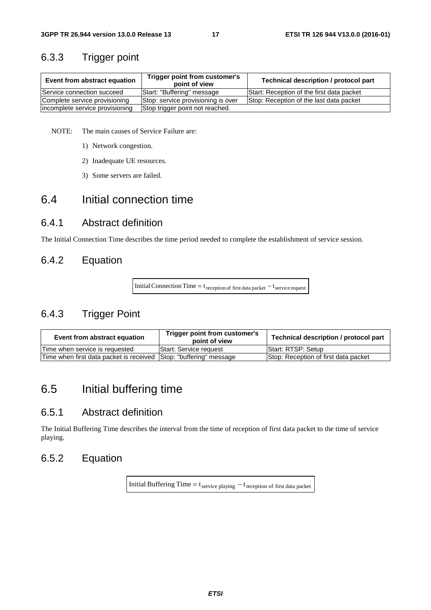### 6.3.3 Trigger point

| Event from abstract equation    | Trigger point from customer's<br>point of view | Technical description / protocol part     |
|---------------------------------|------------------------------------------------|-------------------------------------------|
| Service connection succeed      | Start: "Buffering" message                     | Start: Reception of the first data packet |
| Complete service provisioning   | Stop: service provisioning is over             | Stop: Reception of the last data packet   |
| incomplete service provisioning | Stop trigger point not reached.                |                                           |

NOTE: The main causes of Service Failure are:

- 1) Network congestion.
- 2) Inadequate UE resources.
- 3) Some servers are failed.

## 6.4 Initial connection time

### 6.4.1 Abstract definition

The Initial Connection Time describes the time period needed to complete the establishment of service session.

### 6.4.2 Equation

Initial Connection Time =  $t_{\text{reception of first data packet}} - t_{\text{service request}}$ 

## 6.4.3 Trigger Point

| Event from abstract equation            | Trigger point from customer's<br>point of view | Technical description / protocol part |
|-----------------------------------------|------------------------------------------------|---------------------------------------|
| lTime when service is reauested         | <b>Start: Service request</b>                  | Start: RTSP: Setup                    |
| Time when first data packet is received | Stop: "buffering" message                      | Stop: Reception of first data packet  |

## 6.5 Initial buffering time

### 6.5.1 Abstract definition

The Initial Buffering Time describes the interval from the time of reception of first data packet to the time of service playing.

### 6.5.2 Equation

Initial Buffering Time =  $t_{\text{service playing}} - t_{\text{reception of first data packet}}$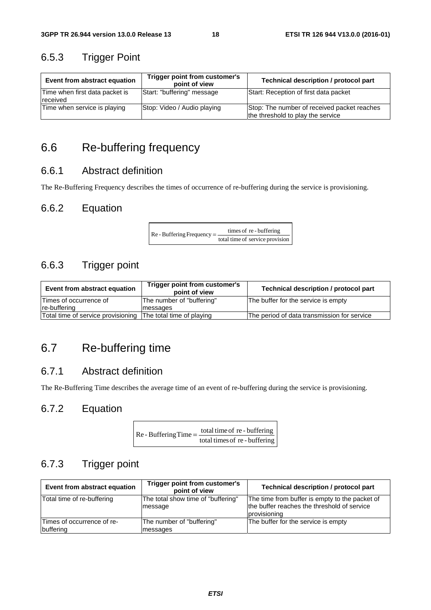## 6.5.3 Trigger Point

| Event from abstract equation               | Trigger point from customer's<br>point of view | Technical description / protocol part                                            |
|--------------------------------------------|------------------------------------------------|----------------------------------------------------------------------------------|
| Time when first data packet is<br>received | Start: "buffering" message                     | Start: Reception of first data packet                                            |
| Time when service is playing               | Stop: Video / Audio playing                    | Stop: The number of received packet reaches<br>the threshold to play the service |

## 6.6 Re-buffering frequency

### 6.6.1 Abstract definition

The Re-Buffering Frequency describes the times of occurrence of re-buffering during the service is provisioning.

### 6.6.2 Equation

total time of service provision  $\text{Re}$  - Buffering Frequency =  $\frac{\text{times of re-buffering}}{\text{times of equivalence}}$ 

## 6.6.3 Trigger point

| Event from abstract equation       | Trigger point from customer's<br>point of view | Technical description / protocol part       |
|------------------------------------|------------------------------------------------|---------------------------------------------|
| Times of occurrence of             | The number of "buffering"                      | The buffer for the service is empty         |
| re-buffering                       | messages                                       |                                             |
| Total time of service provisioning | The total time of playing                      | The period of data transmission for service |

## 6.7 Re-buffering time

### 6.7.1 Abstract definition

The Re-Buffering Time describes the average time of an event of re-buffering during the service is provisioning.

### 6.7.2 Equation

| $Re$ - Buffering Time = $\frac{N}{n}$ | total time of re - buffering  |
|---------------------------------------|-------------------------------|
|                                       | total times of re - buffering |

### 6.7.3 Trigger point

| Event from abstract equation            | Trigger point from customer's<br>point of view | <b>Technical description / protocol part</b>                                                                  |
|-----------------------------------------|------------------------------------------------|---------------------------------------------------------------------------------------------------------------|
| Total time of re-buffering              | The total show time of "buffering"<br>message  | The time from buffer is empty to the packet of<br>the buffer reaches the threshold of service<br>provisioning |
| Times of occurrence of re-<br>buffering | The number of "buffering"<br>messages          | The buffer for the service is empty                                                                           |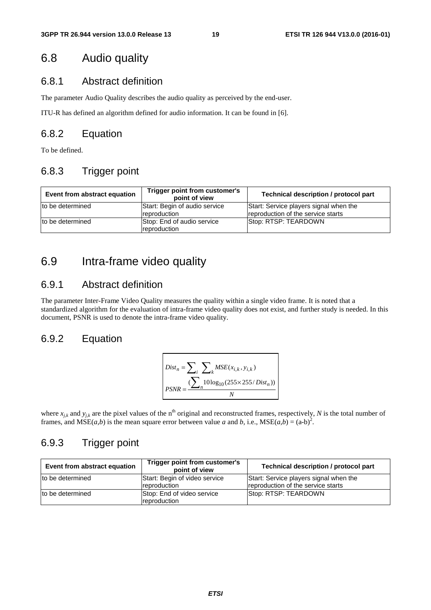## 6.8 Audio quality

### 6.8.1 Abstract definition

The parameter Audio Quality describes the audio quality as perceived by the end-user.

ITU-R has defined an algorithm defined for audio information. It can be found in [6].

### 6.8.2 Equation

To be defined.

## 6.8.3 Trigger point

| Event from abstract equation | Trigger point from customer's<br>point of view | Technical description / protocol part                                        |
|------------------------------|------------------------------------------------|------------------------------------------------------------------------------|
| to be determined             | Start: Begin of audio service<br>reproduction  | Start: Service players signal when the<br>reproduction of the service starts |
| to be determined             | Stop: End of audio service<br>reproduction     | Stop: RTSP: TEARDOWN                                                         |

## 6.9 Intra-frame video quality

### 6.9.1 Abstract definition

The parameter Inter-Frame Video Quality measures the quality within a single video frame. It is noted that a standardized algorithm for the evaluation of intra-frame video quality does not exist, and further study is needed. In this document, PSNR is used to denote the intra-frame video quality.

### 6.9.2 Equation

$$
Dist_n = \sum_{i} \sum_{k} MSE(x_{i,k}, y_{i,k})
$$
  
PSNR = 
$$
\frac{\sum_{i} 10 \log_{10}(255 \times 255/Dist_n))}{N}
$$

where  $x_{jk}$  and  $y_{jk}$  are the pixel values of the n<sup>th</sup> original and reconstructed frames, respectively, *N* is the total number of frames, and  $MSE(a,b)$  is the mean square error between value *a* and *b*, i.e.,  $MSE(a,b) = (a-b)^2$ .

## 6.9.3 Trigger point

| Event from abstract equation | Trigger point from customer's<br>point of view | Technical description / protocol part                                        |
|------------------------------|------------------------------------------------|------------------------------------------------------------------------------|
| Ito be determined            | Start: Begin of video service<br>reproduction  | Start: Service players signal when the<br>reproduction of the service starts |
| to be determined             | Stop: End of video service<br>reproduction     | Stop: RTSP: TEARDOWN                                                         |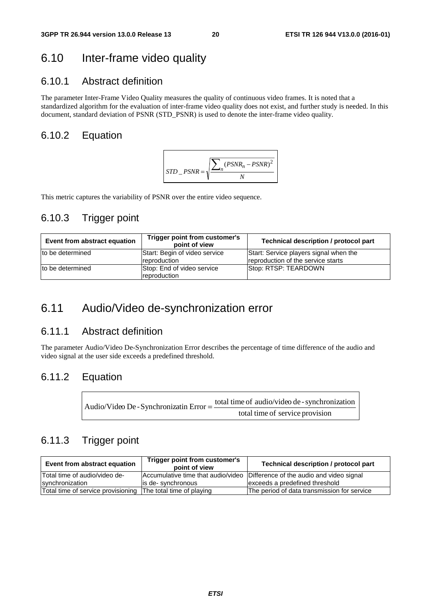## 6.10 Inter-frame video quality

### 6.10.1 Abstract definition

The parameter Inter-Frame Video Quality measures the quality of continuous video frames. It is noted that a standardized algorithm for the evaluation of inter-frame video quality does not exist, and further study is needed. In this document, standard deviation of PSNR (STD\_PSNR) is used to denote the inter-frame video quality.

### 6.10.2 Equation



This metric captures the variability of PSNR over the entire video sequence.

### 6.10.3 Trigger point

| Event from abstract equation | Trigger point from customer's<br>point of view       | Technical description / protocol part                                        |
|------------------------------|------------------------------------------------------|------------------------------------------------------------------------------|
| to be determined             | Start: Begin of video service<br><b>reproduction</b> | Start: Service players signal when the<br>reproduction of the service starts |
| to be determined             | Stop: End of video service<br><b>reproduction</b>    | Stop: RTSP: TEARDOWN                                                         |

## 6.11 Audio/Video de-synchronization error

## 6.11.1 Abstract definition

The parameter Audio/Video De-Synchronization Error describes the percentage of time difference of the audio and video signal at the user side exceeds a predefined threshold.

### 6.11.2 Equation

| Audio/Video De - Synchronizatin Error = | total time of audio/video de - synchronization |  |  |  |
|-----------------------------------------|------------------------------------------------|--|--|--|
|                                         | total time of service provision                |  |  |  |

### 6.11.3 Trigger point

| Event from abstract equation                                 | Trigger point from customer's<br>point of view | Technical description / protocol part                                       |
|--------------------------------------------------------------|------------------------------------------------|-----------------------------------------------------------------------------|
| Total time of audio/video de-                                |                                                | Accumulative time that audio/video Difference of the audio and video signal |
| <b>Isynchronization</b>                                      | lis de-synchronous                             | exceeds a predefined threshold                                              |
| Total time of service provisioning The total time of playing |                                                | The period of data transmission for service                                 |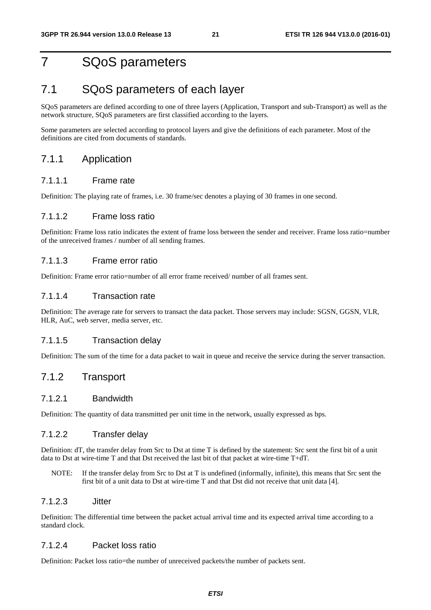## 7 SQoS parameters

## 7.1 SQoS parameters of each layer

SQoS parameters are defined according to one of three layers (Application, Transport and sub-Transport) as well as the network structure, SQoS parameters are first classified according to the layers.

Some parameters are selected according to protocol layers and give the definitions of each parameter. Most of the definitions are cited from documents of standards.

### 7.1.1 Application

#### 7.1.1.1 Frame rate

Definition: The playing rate of frames, i.e. 30 frame/sec denotes a playing of 30 frames in one second.

#### 7.1.1.2 Frame loss ratio

Definition: Frame loss ratio indicates the extent of frame loss between the sender and receiver. Frame loss ratio=number of the unreceived frames / number of all sending frames.

#### 7.1.1.3 Frame error ratio

Definition: Frame error ratio=number of all error frame received/ number of all frames sent.

#### 7.1.1.4 Transaction rate

Definition: The average rate for servers to transact the data packet. Those servers may include: SGSN, GGSN, VLR, HLR, AuC, web server, media server, etc.

#### 7.1.1.5 Transaction delay

Definition: The sum of the time for a data packet to wait in queue and receive the service during the server transaction.

### 7.1.2 Transport

#### 7.1.2.1 Bandwidth

Definition: The quantity of data transmitted per unit time in the network, usually expressed as bps.

#### 7.1.2.2 Transfer delay

Definition: dT, the transfer delay from Src to Dst at time T is defined by the statement: Src sent the first bit of a unit data to Dst at wire-time T and that Dst received the last bit of that packet at wire-time T+dT.

NOTE: If the transfer delay from Src to Dst at T is undefined (informally, infinite), this means that Src sent the first bit of a unit data to Dst at wire-time T and that Dst did not receive that unit data [4].

#### 7.1.2.3 Jitter

Definition: The differential time between the packet actual arrival time and its expected arrival time according to a standard clock.

#### 7.1.2.4 Packet loss ratio

Definition: Packet loss ratio=the number of unreceived packets/the number of packets sent.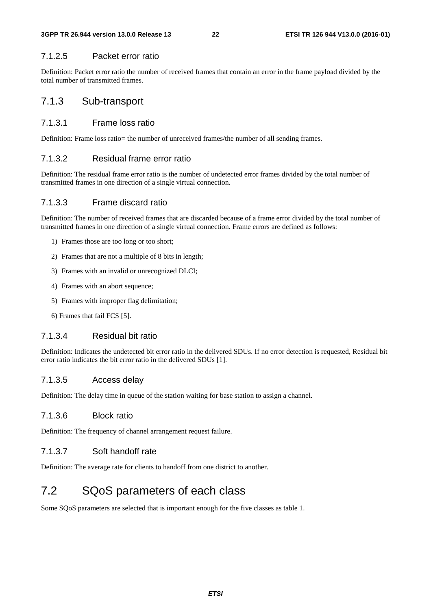#### 7.1.2.5 Packet error ratio

Definition: Packet error ratio the number of received frames that contain an error in the frame payload divided by the total number of transmitted frames.

### 7.1.3 Sub-transport

#### 7.1.3.1 Frame loss ratio

Definition: Frame loss ratio= the number of unreceived frames/the number of all sending frames.

#### 7.1.3.2 Residual frame error ratio

Definition: The residual frame error ratio is the number of undetected error frames divided by the total number of transmitted frames in one direction of a single virtual connection.

#### 7.1.3.3 Frame discard ratio

Definition: The number of received frames that are discarded because of a frame error divided by the total number of transmitted frames in one direction of a single virtual connection. Frame errors are defined as follows:

- 1) Frames those are too long or too short;
- 2) Frames that are not a multiple of 8 bits in length;
- 3) Frames with an invalid or unrecognized DLCI;
- 4) Frames with an abort sequence;
- 5) Frames with improper flag delimitation;
- 6) Frames that fail FCS [5].

#### 7.1.3.4 Residual bit ratio

Definition: Indicates the undetected bit error ratio in the delivered SDUs. If no error detection is requested, Residual bit error ratio indicates the bit error ratio in the delivered SDUs [1].

#### 7.1.3.5 Access delay

Definition: The delay time in queue of the station waiting for base station to assign a channel.

#### 7.1.3.6 Block ratio

Definition: The frequency of channel arrangement request failure.

#### 7.1.3.7 Soft handoff rate

Definition: The average rate for clients to handoff from one district to another.

## 7.2 SQoS parameters of each class

Some SQoS parameters are selected that is important enough for the five classes as table 1.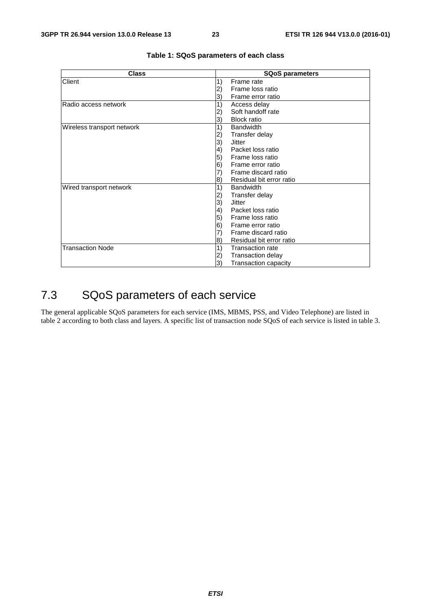| <b>Class</b>               | <b>SQoS parameters</b>          |
|----------------------------|---------------------------------|
| Client                     | 1)<br>Frame rate                |
|                            | Frame loss ratio<br>2)          |
|                            | Frame error ratio<br>3)         |
| Radio access network       | 1)<br>Access delay              |
|                            | Soft handoff rate<br>2)         |
|                            | <b>Block ratio</b><br>3)        |
| Wireless transport network | 1)<br><b>Bandwidth</b>          |
|                            | Transfer delay<br>2)            |
|                            | 3)<br>Jitter                    |
|                            | Packet loss ratio<br>$\vert 4)$ |
|                            | 5)<br>Frame loss ratio          |
|                            | 6)<br>Frame error ratio         |
|                            | 7)<br>Frame discard ratio       |
|                            | Residual bit error ratio<br>8)  |
| Wired transport network    | 1)<br><b>Bandwidth</b>          |
|                            | 2)<br>Transfer delay            |
|                            | 3)<br><b>Jitter</b>             |
|                            | Packet loss ratio<br>4)         |
|                            | 5)<br>Frame loss ratio          |
|                            | 6)<br>Frame error ratio         |
|                            | Frame discard ratio<br>7)       |
|                            | Residual bit error ratio<br>8)  |
| <b>Transaction Node</b>    | 1)<br><b>Transaction rate</b>   |
|                            | Transaction delay<br>2)         |
|                            | 3)<br>Transaction capacity      |

#### **Table 1: SQoS parameters of each class**

## 7.3 SQoS parameters of each service

The general applicable SQoS parameters for each service (IMS, MBMS, PSS, and Video Telephone) are listed in table 2 according to both class and layers. A specific list of transaction node SQoS of each service is listed in table 3.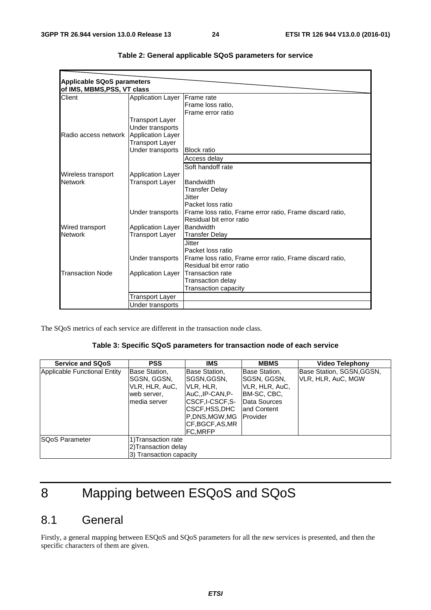| <b>Applicable SQoS parameters</b> |                          |                                                           |
|-----------------------------------|--------------------------|-----------------------------------------------------------|
| of IMS, MBMS, PSS, VT class       |                          |                                                           |
| Client                            | <b>Application Layer</b> | <b>IFrame</b> rate                                        |
|                                   |                          | Frame loss ratio,                                         |
|                                   |                          | Frame error ratio                                         |
|                                   | Transport Layer          |                                                           |
|                                   | Under transports         |                                                           |
| Radio access network              | <b>Application Layer</b> |                                                           |
|                                   | Transport Layer          |                                                           |
|                                   | Under transports         | <b>Block</b> ratio                                        |
|                                   |                          | Access delay                                              |
|                                   |                          | Soft handoff rate                                         |
| Wireless transport                | <b>Application Layer</b> |                                                           |
| <b>Network</b>                    | Transport Layer          | Bandwidth                                                 |
|                                   |                          | Transfer Delay                                            |
|                                   |                          | Jitter                                                    |
|                                   |                          | Packet loss ratio                                         |
|                                   | Under transports         | Frame loss ratio, Frame error ratio, Frame discard ratio, |
|                                   |                          | Residual bit error ratio                                  |
| Wired transport                   | <b>Application Layer</b> | Bandwidth                                                 |
| <b>Network</b>                    | Transport Layer          | <b>Transfer Delay</b>                                     |
|                                   |                          | <b>Jitter</b>                                             |
|                                   |                          | Packet loss ratio                                         |
|                                   | Under transports         | Frame loss ratio, Frame error ratio, Frame discard ratio, |
|                                   |                          | Residual bit error ratio                                  |
| <b>Transaction Node</b>           | <b>Application Layer</b> | <b>Transaction rate</b>                                   |
|                                   |                          | <b>Transaction delay</b>                                  |
|                                   |                          | Transaction capacity                                      |
|                                   | Transport Layer          |                                                           |
|                                   | Under transports         |                                                           |

| Table 2: General applicable SQoS parameters for service |  |  |  |  |  |
|---------------------------------------------------------|--|--|--|--|--|
|---------------------------------------------------------|--|--|--|--|--|

The SQoS metrics of each service are different in the transaction node class.

#### **Table 3: Specific SQoS parameters for transaction node of each service**

| <b>Service and SQoS</b>      | <b>PSS</b>                                                                     | <b>IMS</b>                                                                                                                                        | <b>MBMS</b>                                                                                                         | Video Telephony                                 |
|------------------------------|--------------------------------------------------------------------------------|---------------------------------------------------------------------------------------------------------------------------------------------------|---------------------------------------------------------------------------------------------------------------------|-------------------------------------------------|
| Applicable Functional Entity | Base Station,<br>SGSN, GGSN,<br>VLR, HLR, AuC,<br>web server,<br>Imedia server | Base Station,<br>SGSN,GGSN,<br>VLR, HLR,<br>IAuCIP-CAN.P-<br>ICSCF.I-CSCF.S-<br>ICSCF,HSS,DHC<br>P.DNS.MGW.MG<br>ICF.BGCF.AS.MR<br><b>FC.MRFP</b> | Base Station,<br>ISGSN, GGSN,<br>VLR, HLR, AuC,<br>IBM-SC, CBC,<br>Data Sources<br>land Content<br><b>IProvider</b> | Base Station, SGSN, GGSN,<br>VLR, HLR, AuC, MGW |
| <b>SQoS Parameter</b>        | 1) Transaction rate<br>2) Transaction delay<br>3) Transaction capacity         |                                                                                                                                                   |                                                                                                                     |                                                 |

# 8 Mapping between ESQoS and SQoS

## 8.1 General

Firstly, a general mapping between ESQoS and SQoS parameters for all the new services is presented, and then the specific characters of them are given.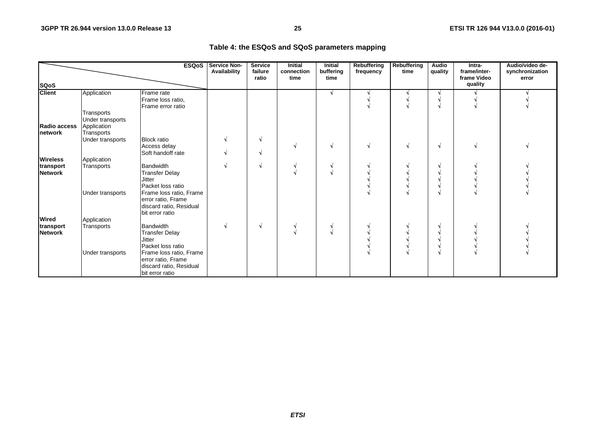#### **Table 4: the ESQoS and SQoS parameters mapping**

|                                 |                                                             | <b>ESQoS</b>                                                                                                                     | <b>Service Non-</b><br>Availability | <b>Service</b><br>failure<br>ratio | <b>Initial</b><br>connection<br>time | <b>Initial</b><br>buffering<br>time | <b>Rebuffering</b><br>frequency | Rebuffering<br>time | Audio<br>quality | Intra-<br>frame/inter-<br>frame Video | Audio/video de-<br>synchronization<br>error |
|---------------------------------|-------------------------------------------------------------|----------------------------------------------------------------------------------------------------------------------------------|-------------------------------------|------------------------------------|--------------------------------------|-------------------------------------|---------------------------------|---------------------|------------------|---------------------------------------|---------------------------------------------|
| <b>SQoS</b>                     |                                                             |                                                                                                                                  |                                     |                                    |                                      |                                     |                                 |                     |                  | quality                               |                                             |
| <b>Client</b>                   | Application                                                 | Frame rate<br>Frame loss ratio,<br>Frame error ratio                                                                             |                                     |                                    |                                      | $\sqrt{ }$                          |                                 |                     |                  |                                       |                                             |
| Radio access<br><b>Inetwork</b> | Transports<br>Under transports<br>Application<br>Transports |                                                                                                                                  |                                     |                                    |                                      |                                     |                                 |                     |                  |                                       |                                             |
|                                 | Under transports                                            | <b>Block ratio</b><br>Access delay<br>Soft handoff rate                                                                          |                                     |                                    |                                      |                                     |                                 |                     | N                |                                       |                                             |
| <b>Wireless</b>                 | Application                                                 |                                                                                                                                  |                                     |                                    |                                      |                                     |                                 |                     |                  |                                       |                                             |
| transport<br><b>Network</b>     | Transports                                                  | Bandwidth<br><b>Transfer Delay</b><br><b>Jitter</b><br>Packet loss ratio                                                         |                                     | N                                  |                                      |                                     |                                 |                     |                  |                                       |                                             |
|                                 | Under transports                                            | Frame loss ratio, Frame<br>error ratio, Frame<br>discard ratio, Residual<br>bit error ratio                                      |                                     |                                    |                                      |                                     |                                 |                     |                  |                                       |                                             |
| Wired                           | Application                                                 |                                                                                                                                  |                                     |                                    |                                      |                                     |                                 |                     |                  |                                       |                                             |
| transport<br><b>Network</b>     | Transports<br>Under transports                              | <b>Bandwidth</b><br><b>Transfer Delay</b><br><b>Jitter</b><br>Packet loss ratio<br>Frame loss ratio, Frame<br>error ratio, Frame |                                     | N                                  |                                      |                                     |                                 |                     |                  |                                       |                                             |
|                                 |                                                             | discard ratio, Residual<br>bit error ratio                                                                                       |                                     |                                    |                                      |                                     |                                 |                     |                  |                                       |                                             |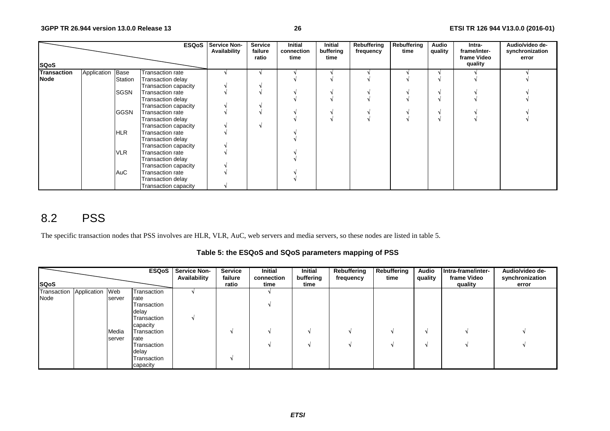|                    |             |             | <b>ESQoS</b>            | <b>Service Non-</b><br>Availability | Service<br>failure<br>ratio | <b>Initial</b><br>connection<br>time | Initial<br>buffering<br>time | Rebuffering<br>frequency | Rebuffering<br>time | Audio<br>quality | Intra-<br>frame/inter-<br>frame Video | Audio/video de-<br>synchronization<br>error |
|--------------------|-------------|-------------|-------------------------|-------------------------------------|-----------------------------|--------------------------------------|------------------------------|--------------------------|---------------------|------------------|---------------------------------------|---------------------------------------------|
| <b>SQoS</b>        |             |             |                         |                                     |                             |                                      |                              |                          |                     |                  | quality                               |                                             |
| <b>Transaction</b> | Application | Base        | Transaction rate        |                                     |                             |                                      |                              |                          |                     |                  |                                       |                                             |
| Node               |             | Station     | Transaction delay       |                                     |                             |                                      |                              |                          |                     |                  |                                       |                                             |
|                    |             |             | Transaction capacity    |                                     |                             |                                      |                              |                          |                     |                  |                                       |                                             |
|                    |             | <b>SGSN</b> | <b>Transaction rate</b> |                                     |                             |                                      |                              |                          |                     |                  |                                       |                                             |
|                    |             |             | Transaction delay       |                                     |                             |                                      |                              |                          |                     |                  |                                       |                                             |
|                    |             |             | Transaction capacity    |                                     |                             |                                      |                              |                          |                     |                  |                                       |                                             |
|                    |             | <b>GGSN</b> | <b>Transaction rate</b> |                                     |                             |                                      |                              |                          |                     |                  |                                       |                                             |
|                    |             |             | Transaction delay       |                                     |                             |                                      |                              |                          |                     |                  |                                       |                                             |
|                    |             |             | Transaction capacity    |                                     |                             |                                      |                              |                          |                     |                  |                                       |                                             |
|                    |             | <b>HLR</b>  | <b>Transaction rate</b> |                                     |                             |                                      |                              |                          |                     |                  |                                       |                                             |
|                    |             |             | Transaction delay       |                                     |                             |                                      |                              |                          |                     |                  |                                       |                                             |
|                    |             |             | Transaction capacity    |                                     |                             |                                      |                              |                          |                     |                  |                                       |                                             |
|                    |             | <b>VLR</b>  | <b>Transaction rate</b> |                                     |                             |                                      |                              |                          |                     |                  |                                       |                                             |
|                    |             |             | Transaction delay       |                                     |                             |                                      |                              |                          |                     |                  |                                       |                                             |
|                    |             |             | Transaction capacity    |                                     |                             |                                      |                              |                          |                     |                  |                                       |                                             |
|                    |             | AuC         | <b>Transaction rate</b> |                                     |                             |                                      |                              |                          |                     |                  |                                       |                                             |
|                    |             |             | Transaction delay       |                                     |                             |                                      |                              |                          |                     |                  |                                       |                                             |
|                    |             |             | Transaction capacity    |                                     |                             |                                      |                              |                          |                     |                  |                                       |                                             |

## 8.2 PSS

The specific transaction nodes that PSS involves are HLR, VLR, AuC, web servers and media servers, so these nodes are listed in table 5.

**Table 5: the ESQoS and SQoS parameters mapping of PSS** 

|                             |        |             | <b>ESQoS</b> Service Non-<br>Availability | <b>Service</b><br>failure | Initial<br>connection | Initial<br>buffering | Rebuffering<br>frequency | Rebuffering<br>time | <b>Audio</b><br>quality | Intra-frame/inter-<br>frame Video | Audio/video de-<br>synchronization |
|-----------------------------|--------|-------------|-------------------------------------------|---------------------------|-----------------------|----------------------|--------------------------|---------------------|-------------------------|-----------------------------------|------------------------------------|
| <b>SQoS</b>                 |        |             |                                           | ratio                     | time                  | time                 |                          |                     |                         | quality                           | error                              |
| Transaction Application Web |        | Transaction |                                           |                           |                       |                      |                          |                     |                         |                                   |                                    |
| Node                        | server | rate        |                                           |                           |                       |                      |                          |                     |                         |                                   |                                    |
|                             |        | Transaction |                                           |                           |                       |                      |                          |                     |                         |                                   |                                    |
|                             |        | delay       |                                           |                           |                       |                      |                          |                     |                         |                                   |                                    |
|                             |        | Transaction |                                           |                           |                       |                      |                          |                     |                         |                                   |                                    |
|                             |        | capacity    |                                           |                           |                       |                      |                          |                     |                         |                                   |                                    |
|                             | Media  | Transaction |                                           |                           |                       |                      |                          |                     |                         |                                   |                                    |
|                             | server | rate        |                                           |                           |                       |                      |                          |                     |                         |                                   |                                    |
|                             |        | Transaction |                                           |                           |                       |                      |                          |                     |                         |                                   |                                    |
|                             |        | delay       |                                           |                           |                       |                      |                          |                     |                         |                                   |                                    |
|                             |        | Transaction |                                           |                           |                       |                      |                          |                     |                         |                                   |                                    |
|                             |        | capacity    |                                           |                           |                       |                      |                          |                     |                         |                                   |                                    |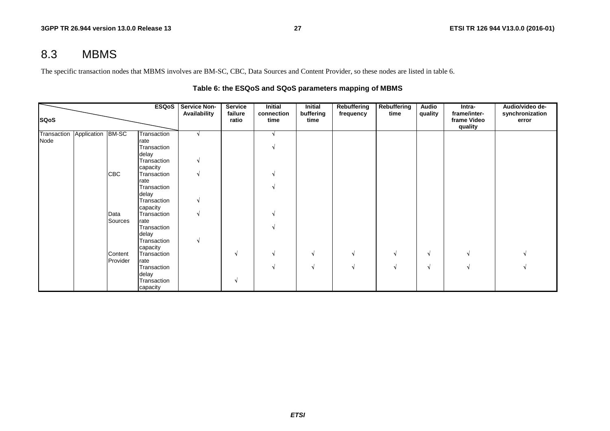## 8.3 MBMS

The specific transaction nodes that MBMS involves are BM-SC, CBC, Data Sources and Content Provider, so these nodes are listed in table 6.

|             |                   |            | ESQoS               | <b>Service Non-</b> | Service          | <b>Initial</b>     | <b>Initial</b>    | <b>Rebuffering</b> | <b>Rebuffering</b> | <b>Audio</b> | Intra-                                 | Audio/video de-          |
|-------------|-------------------|------------|---------------------|---------------------|------------------|--------------------|-------------------|--------------------|--------------------|--------------|----------------------------------------|--------------------------|
| <b>SQoS</b> |                   |            |                     | Availability        | failure<br>ratio | connection<br>time | buffering<br>time | frequency          | time               | quality      | frame/inter-<br>frame Video<br>quality | synchronization<br>error |
| Transaction | Application BM-SC |            | Transaction         |                     |                  |                    |                   |                    |                    |              |                                        |                          |
| Node        |                   |            | rate                |                     |                  |                    |                   |                    |                    |              |                                        |                          |
|             |                   |            | Transaction         |                     |                  |                    |                   |                    |                    |              |                                        |                          |
|             |                   |            | delay               |                     |                  |                    |                   |                    |                    |              |                                        |                          |
|             |                   |            | Transaction         |                     |                  |                    |                   |                    |                    |              |                                        |                          |
|             |                   |            | capacity            |                     |                  |                    |                   |                    |                    |              |                                        |                          |
|             |                   | <b>CBC</b> | Transaction         |                     |                  |                    |                   |                    |                    |              |                                        |                          |
|             |                   |            | rate                |                     |                  |                    |                   |                    |                    |              |                                        |                          |
|             |                   |            | Transaction         |                     |                  |                    |                   |                    |                    |              |                                        |                          |
|             |                   |            | delay               |                     |                  |                    |                   |                    |                    |              |                                        |                          |
|             |                   |            | Transaction         |                     |                  |                    |                   |                    |                    |              |                                        |                          |
|             |                   |            | capacity            |                     |                  |                    |                   |                    |                    |              |                                        |                          |
|             |                   | Data       | Transaction         |                     |                  |                    |                   |                    |                    |              |                                        |                          |
|             |                   | Sources    | rate<br>Transaction |                     |                  |                    |                   |                    |                    |              |                                        |                          |
|             |                   |            | delay               |                     |                  |                    |                   |                    |                    |              |                                        |                          |
|             |                   |            | Transaction         |                     |                  |                    |                   |                    |                    |              |                                        |                          |
|             |                   |            | capacity            |                     |                  |                    |                   |                    |                    |              |                                        |                          |
|             |                   | Content    | Transaction         |                     | N                |                    | N                 | V                  |                    | N            |                                        |                          |
|             |                   | Provider   | rate                |                     |                  |                    |                   |                    |                    |              |                                        |                          |
|             |                   |            | Transaction         |                     |                  |                    | N                 |                    |                    | N            |                                        |                          |
|             |                   |            | delay               |                     |                  |                    |                   |                    |                    |              |                                        |                          |
|             |                   |            | Transaction         |                     | N                |                    |                   |                    |                    |              |                                        |                          |
|             |                   |            | capacity            |                     |                  |                    |                   |                    |                    |              |                                        |                          |

#### **Table 6: the ESQoS and SQoS parameters mapping of MBMS**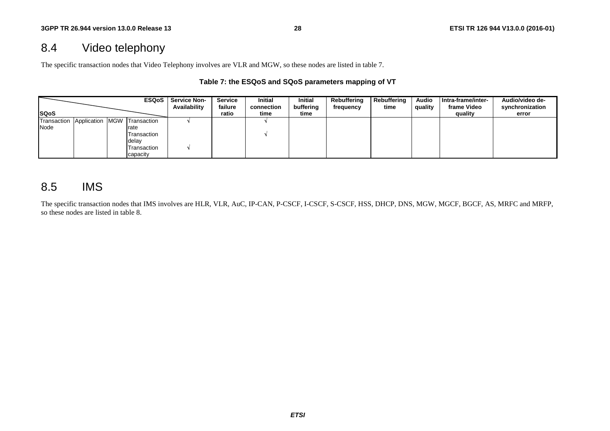## 8.4 Video telephony

The specific transaction nodes that Video Telephony involves are VLR and MGW, so these nodes are listed in table 7.

#### **Table 7: the ESQoS and SQoS parameters mapping of VT**

|                                         |  | <b>ESQoS</b> | <b>Service Non-</b><br>Availability | Service<br>failure | <b>Initial</b><br>connection | <b>Initial</b><br>buffering | <b>Rebuffering</b><br>frequency | <b>Rebuffering</b><br>time | <b>Audio</b><br>quality | Intra-frame/inter-<br>frame Video | Audio/video de-<br>synchronization |
|-----------------------------------------|--|--------------|-------------------------------------|--------------------|------------------------------|-----------------------------|---------------------------------|----------------------------|-------------------------|-----------------------------------|------------------------------------|
| <b>ISQoS</b>                            |  |              |                                     | ratio              | time                         | time                        |                                 |                            |                         | quality                           | error                              |
| Transaction Application MGW Transaction |  |              |                                     |                    |                              |                             |                                 |                            |                         |                                   |                                    |
| Node                                    |  | rate         |                                     |                    |                              |                             |                                 |                            |                         |                                   |                                    |
|                                         |  | Transaction  |                                     |                    |                              |                             |                                 |                            |                         |                                   |                                    |
|                                         |  | delay        |                                     |                    |                              |                             |                                 |                            |                         |                                   |                                    |
|                                         |  | Transaction  |                                     |                    |                              |                             |                                 |                            |                         |                                   |                                    |
|                                         |  | capacity     |                                     |                    |                              |                             |                                 |                            |                         |                                   |                                    |

## 8.5 IMS

The specific transaction nodes that IMS involves are HLR, VLR, AuC, IP-CAN, P-CSCF, I-CSCF, S-CSCF, HSS, DHCP, DNS, MGW, MGCF, BGCF, AS, MRFC and MRFP, so these nodes are listed in table 8.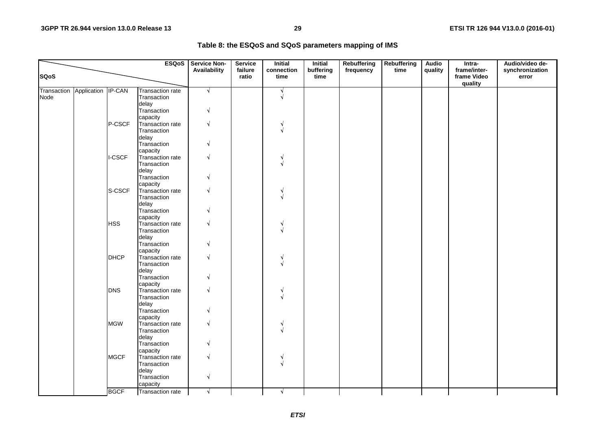| Table 8: the ESQoS and SQoS parameters mapping of IMS |  |  |
|-------------------------------------------------------|--|--|
|-------------------------------------------------------|--|--|

|                     |                    |               | <b>ESQoS</b>                                         | <b>Service Non-</b>      | <b>Service</b>   | <b>Initial</b>     | <b>Initial</b>    | Rebuffering | Rebuffering | <b>Audio</b> | Intra-                                 | Audio/video de-          |
|---------------------|--------------------|---------------|------------------------------------------------------|--------------------------|------------------|--------------------|-------------------|-------------|-------------|--------------|----------------------------------------|--------------------------|
| <b>SQoS</b>         |                    |               |                                                      | Availability             | failure<br>ratio | connection<br>time | buffering<br>time | frequency   | time        | quality      | frame/inter-<br>frame Video<br>quality | synchronization<br>error |
| Transaction<br>Node | Application IP-CAN |               | <b>Transaction rate</b><br>Transaction<br>delay      | $\sqrt{ }$               |                  | N                  |                   |             |             |              |                                        |                          |
|                     |                    |               | Transaction<br>capacity                              | N                        |                  |                    |                   |             |             |              |                                        |                          |
|                     |                    | P-CSCF        | Transaction rate<br>Transaction                      | N                        |                  |                    |                   |             |             |              |                                        |                          |
|                     |                    |               | delay<br>Transaction<br>capacity                     | N                        |                  |                    |                   |             |             |              |                                        |                          |
|                     |                    | <b>I-CSCF</b> | Transaction rate<br>Transaction<br>delay             | $\sqrt{ }$               |                  |                    |                   |             |             |              |                                        |                          |
|                     |                    |               | Transaction<br>capacity                              | N                        |                  |                    |                   |             |             |              |                                        |                          |
|                     |                    | S-CSCF        | Transaction rate<br>Transaction<br>delay             | $\sqrt{}$                |                  |                    |                   |             |             |              |                                        |                          |
|                     |                    | <b>HSS</b>    | Transaction<br>capacity<br>Transaction rate          | $\sqrt{ }$<br>$\sqrt{ }$ |                  |                    |                   |             |             |              |                                        |                          |
|                     |                    |               | Transaction<br>delay<br>Transaction                  | N                        |                  |                    |                   |             |             |              |                                        |                          |
|                     |                    | <b>DHCP</b>   | capacity<br>Transaction rate<br>Transaction<br>delay | $\sqrt{ }$               |                  |                    |                   |             |             |              |                                        |                          |
|                     |                    |               | Transaction<br>capacity                              | N                        |                  |                    |                   |             |             |              |                                        |                          |
|                     |                    | <b>DNS</b>    | Transaction rate<br>Transaction<br>delay             | N                        |                  |                    |                   |             |             |              |                                        |                          |
|                     |                    |               | Transaction<br>capacity                              | $\sqrt{ }$               |                  |                    |                   |             |             |              |                                        |                          |
|                     |                    | <b>MGW</b>    | Transaction rate<br>Transaction<br>delay             | $\sqrt{ }$               |                  |                    |                   |             |             |              |                                        |                          |
|                     |                    | <b>MGCF</b>   | Transaction<br>capacity<br>Transaction rate          | N<br>$\sqrt{ }$          |                  |                    |                   |             |             |              |                                        |                          |
|                     |                    |               | Transaction<br>delay                                 |                          |                  |                    |                   |             |             |              |                                        |                          |
|                     |                    |               | Transaction<br>capacity                              | $\sqrt{ }$               |                  |                    |                   |             |             |              |                                        |                          |
|                     |                    | <b>BGCF</b>   | Transaction rate                                     | $\sqrt{ }$               |                  | N.                 |                   |             |             |              |                                        |                          |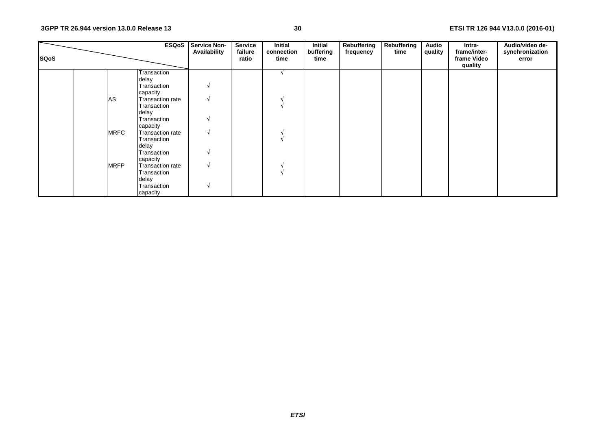|             |             | <b>ESQoS</b>     | <b>Service Non-</b><br>Availability | <b>Service</b><br>failure | <b>Initial</b><br>connection | <b>Initial</b><br>buffering | Rebuffering<br>frequency | Rebuffering<br>time | <b>Audio</b><br>quality | Intra-<br>frame/inter- | Audio/video de-<br>synchronization |
|-------------|-------------|------------------|-------------------------------------|---------------------------|------------------------------|-----------------------------|--------------------------|---------------------|-------------------------|------------------------|------------------------------------|
| <b>SQoS</b> |             |                  |                                     | ratio                     | time                         | time                        |                          |                     |                         | frame Video<br>quality | error                              |
|             |             | Transaction      |                                     |                           |                              |                             |                          |                     |                         |                        |                                    |
|             |             | delay            |                                     |                           |                              |                             |                          |                     |                         |                        |                                    |
|             |             | Transaction      | N                                   |                           |                              |                             |                          |                     |                         |                        |                                    |
|             |             | capacity         |                                     |                           |                              |                             |                          |                     |                         |                        |                                    |
|             | AS          | Transaction rate | V                                   |                           |                              |                             |                          |                     |                         |                        |                                    |
|             |             | Transaction      |                                     |                           |                              |                             |                          |                     |                         |                        |                                    |
|             |             | delay            |                                     |                           |                              |                             |                          |                     |                         |                        |                                    |
|             |             | Transaction      | V                                   |                           |                              |                             |                          |                     |                         |                        |                                    |
|             |             | capacity         |                                     |                           |                              |                             |                          |                     |                         |                        |                                    |
|             | <b>MRFC</b> | Transaction rate | V                                   |                           |                              |                             |                          |                     |                         |                        |                                    |
|             |             | Transaction      |                                     |                           |                              |                             |                          |                     |                         |                        |                                    |
|             |             | delay            |                                     |                           |                              |                             |                          |                     |                         |                        |                                    |
|             |             | Transaction      | N                                   |                           |                              |                             |                          |                     |                         |                        |                                    |
|             |             | capacity         |                                     |                           |                              |                             |                          |                     |                         |                        |                                    |
|             | <b>MRFP</b> | Transaction rate | V                                   |                           |                              |                             |                          |                     |                         |                        |                                    |
|             |             | Transaction      |                                     |                           |                              |                             |                          |                     |                         |                        |                                    |
|             |             | delay            |                                     |                           |                              |                             |                          |                     |                         |                        |                                    |
|             |             | Transaction      | V                                   |                           |                              |                             |                          |                     |                         |                        |                                    |
|             |             | capacity         |                                     |                           |                              |                             |                          |                     |                         |                        |                                    |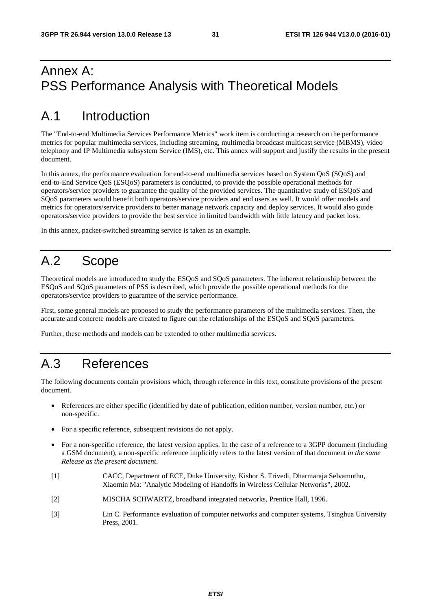## Annex A: PSS Performance Analysis with Theoretical Models

## A.1 Introduction

The "End-to-end Multimedia Services Performance Metrics" work item is conducting a research on the performance metrics for popular multimedia services, including streaming, multimedia broadcast multicast service (MBMS), video telephony and IP Multimedia subsystem Service (IMS), etc. This annex will support and justify the results in the present document.

In this annex, the performance evaluation for end-to-end multimedia services based on System QoS (SQoS) and end-to-End Service QoS (ESQoS) parameters is conducted, to provide the possible operational methods for operators/service providers to guarantee the quality of the provided services. The quantitative study of ESQoS and SQoS parameters would benefit both operators/service providers and end users as well. It would offer models and metrics for operators/service providers to better manage network capacity and deploy services. It would also guide operators/service providers to provide the best service in limited bandwidth with little latency and packet loss.

In this annex, packet-switched streaming service is taken as an example.

## A.2 Scope

Theoretical models are introduced to study the ESQoS and SQoS parameters. The inherent relationship between the ESQoS and SQoS parameters of PSS is described, which provide the possible operational methods for the operators/service providers to guarantee of the service performance.

First, some general models are proposed to study the performance parameters of the multimedia services. Then, the accurate and concrete models are created to figure out the relationships of the ESQoS and SQoS parameters.

Further, these methods and models can be extended to other multimedia services.

## A.3 References

The following documents contain provisions which, through reference in this text, constitute provisions of the present document.

- References are either specific (identified by date of publication, edition number, version number, etc.) or non-specific.
- For a specific reference, subsequent revisions do not apply.
- For a non-specific reference, the latest version applies. In the case of a reference to a 3GPP document (including a GSM document), a non-specific reference implicitly refers to the latest version of that document *in the same Release as the present document*.
- [1] CACC, Department of ECE, Duke University, Kishor S. Trivedi, Dharmaraja Selvamuthu, Xiaomin Ma: "Analytic Modeling of Handoffs in Wireless Cellular Networks", 2002.
- [2] MISCHA SCHWARTZ, broadband integrated networks, Prentice Hall, 1996.
- [3] Lin C. Performance evaluation of computer networks and computer systems, Tsinghua University Press, 2001.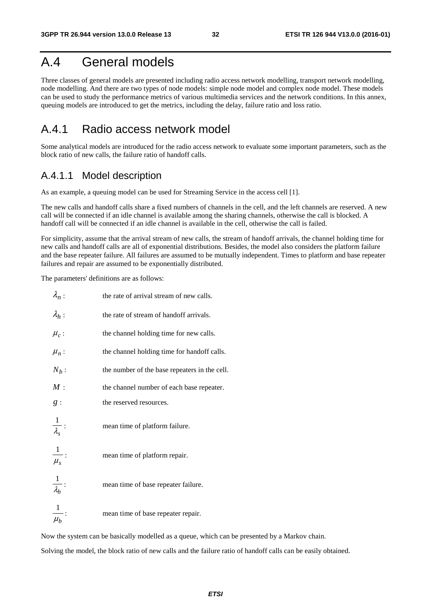## A.4 General models

Three classes of general models are presented including radio access network modelling, transport network modelling, node modelling. And there are two types of node models: simple node model and complex node model. These models can be used to study the performance metrics of various multimedia services and the network conditions. In this annex, queuing models are introduced to get the metrics, including the delay, failure ratio and loss ratio.

## A.4.1 Radio access network model

Some analytical models are introduced for the radio access network to evaluate some important parameters, such as the block ratio of new calls, the failure ratio of handoff calls.

### A.4.1.1 Model description

As an example, a queuing model can be used for Streaming Service in the access cell [1].

The new calls and handoff calls share a fixed numbers of channels in the cell, and the left channels are reserved. A new call will be connected if an idle channel is available among the sharing channels, otherwise the call is blocked. A handoff call will be connected if an idle channel is available in the cell, otherwise the call is failed.

For simplicity, assume that the arrival stream of new calls, the stream of handoff arrivals, the channel holding time for new calls and handoff calls are all of exponential distributions. Besides, the model also considers the platform failure and the base repeater failure. All failures are assumed to be mutually independent. Times to platform and base repeater failures and repair are assumed to be exponentially distributed.

The parameters' definitions are as follows:

| $\lambda_n$ :           | the rate of arrival stream of new calls.      |
|-------------------------|-----------------------------------------------|
| $\lambda_h$ :           | the rate of stream of handoff arrivals.       |
| $\mu_c$ :               | the channel holding time for new calls.       |
| $\mu_n$ :               | the channel holding time for handoff calls.   |
| $N_b$ :                 | the number of the base repeaters in the cell. |
| M:                      | the channel number of each base repeater.     |
| g:                      | the reserved resources.                       |
| $\frac{1}{\lambda_s}$ : | mean time of platform failure.                |
| $\frac{1}{\mu_s}$ :     | mean time of platform repair.                 |
| $\frac{1}{\lambda_b}$ : | mean time of base repeater failure.           |
| $\frac{1}{\mu_b}$       | mean time of base repeater repair.            |
|                         |                                               |

Now the system can be basically modelled as a queue, which can be presented by a Markov chain.

Solving the model, the block ratio of new calls and the failure ratio of handoff calls can be easily obtained.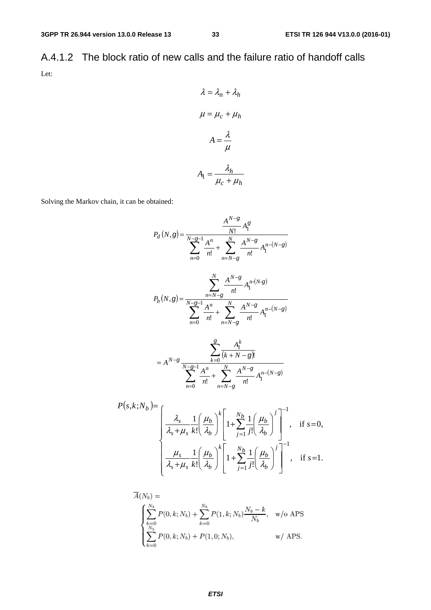A.4.1.2 The block ratio of new calls and the failure ratio of handoff calls Let:

$$
\lambda = \lambda_n + \lambda_h
$$

$$
\mu = \mu_c + \mu_h
$$

$$
A = \frac{\lambda}{\mu}
$$

$$
A_1 = \frac{\lambda_h}{\mu_c + \mu_h}
$$

Solving the Markov chain, it can be obtained:

$$
P_d(N,g) = \frac{A^{N-g}}{N!} A_1^g
$$
  
\n
$$
\sum_{n=0}^{N-g-1} \frac{A^n}{n!} + \sum_{n=N-g}^{N} \frac{A^{N-g}}{n!} A_1^{n-(N-g)}
$$
  
\n
$$
P_b(N,g) = \frac{\sum_{n=N-g}^{N} \frac{A^{N-g}}{n!} A_1^{n(N-g)}}{\sum_{n=0}^{N-g-1} \frac{A^n}{n!} + \sum_{n=N-g}^{N} \frac{A^{N-g}}{n!} A_1^{n-(N-g)}}
$$
  
\n
$$
= A^{N-g} \frac{\sum_{k=0}^{g} \frac{A_1^k}{(k+N-g)!}}{\sum_{n=0}^{N-g-1} \frac{A^n}{n!} + \sum_{n=N-g}^{N} \frac{A^{N-g}}{n!} A_1^{n-(N-g)}}
$$
  
\n,k;N<sub>b</sub>)
$$
= \begin{cases} \lambda_s & 1 \left(\mu_b\right)^k \left[\sum_{1 \leq N \leq N} \frac{N_b}{n!} \frac{1}{n!} \mu_b \right)^j \end{cases}^{-1}
$$

$$
P(s,k;N_b) = \n\begin{cases} \n\frac{\lambda_s}{\lambda_s + \mu_s} \frac{1}{k!} \left( \frac{\mu_b}{\lambda_b} \right)^k \left[ 1 + \sum_{j=1}^{N_b} \frac{1}{j!} \left( \frac{\mu_b}{\lambda_b} \right)^j \right]^{-1}, & \text{if } s = 0, \\ \n\frac{\mu_s}{\lambda_s + \mu_s} \frac{1}{k!} \left( \frac{\mu_b}{\lambda_b} \right)^k \left[ 1 + \sum_{j=1}^{N_b} \frac{1}{j!} \left( \frac{\mu_b}{\lambda_b} \right)^j \right]^{-1}, & \text{if } s = 1. \n\end{cases}
$$

$$
\overline{A}(N_b) = \begin{cases}\n\sum_{k=0}^{N_b} P(0, k; N_b) + \sum_{k=0}^{N_b} P(1, k; N_b) \frac{N_b - k}{N_b}, & \text{w/o APS} \\
\sum_{k=0}^{N_b} P(0, k; N_b) + P(1, 0; N_b), & \text{w/ APS.} \n\end{cases}
$$

*ETSI*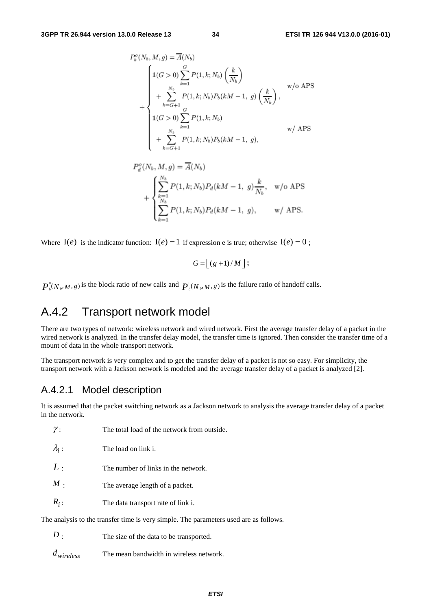$$
P_b^o(N_b, M, g) = \overline{A}(N_b)
$$
  
\n
$$
1(G > 0) \sum_{k=1}^G P(1, k; N_b) \left(\frac{k}{N_b}\right)
$$
  
\n
$$
+ \sum_{k=G+1}^{N_b} P(1, k; N_b) P_b(kM - 1, g) \left(\frac{k}{N_b}\right),
$$
  
\n
$$
1(G > 0) \sum_{k=1}^G P(1, k; N_b)
$$
  
\n
$$
+ \sum_{k=G+1}^{N_b} P(1, k; N_b) P_b(kM - 1, g),
$$
  
\n
$$
w / APS
$$

$$
P_d^o(N_b, M, g) = \overline{A}(N_b)
$$
  
+ 
$$
\begin{cases} \sum_{k=1}^{N_b} P(1, k; N_b) P_d(kM - 1, g) \frac{k}{N_b}, & w/o \text{ APS} \\ \sum_{k=1}^{N_b} P(1, k; N_b) P_d(kM - 1, g), & w/APS. \end{cases}
$$

Where  $I(e)$  is the indicator function:  $I(e) = 1$  if expression e is true; otherwise  $I(e) = 0$ ;

$$
G = \lfloor (g+1)/M \rfloor;
$$

 $\mathbf{0}$  $P_{\text{b}}^{0}(N_{\text{b}}, M, g)$  is the block ratio of new calls and  $P_{\text{d}}^{0}(N_{\text{b}}, M, g)$  is the failure ratio of handoff calls.

## A.4.2 Transport network model

There are two types of network: wireless network and wired network. First the average transfer delay of a packet in the wired network is analyzed. In the transfer delay model, the transfer time is ignored. Then consider the transfer time of a mount of data in the whole transport network.

The transport network is very complex and to get the transfer delay of a packet is not so easy. For simplicity, the transport network with a Jackson network is modeled and the average transfer delay of a packet is analyzed [2].

## A.4.2.1 Model description

It is assumed that the packet switching network as a Jackson network to analysis the average transfer delay of a packet in the network.

| <i>r</i> :                                                                            | The total load of the network from outside. |  |  |  |  |  |
|---------------------------------------------------------------------------------------|---------------------------------------------|--|--|--|--|--|
| $\lambda_i$ :                                                                         | The load on link i.                         |  |  |  |  |  |
| L:                                                                                    | The number of links in the network.         |  |  |  |  |  |
| $M$ .                                                                                 | The average length of a packet.             |  |  |  |  |  |
| $R_i$ :                                                                               | The data transport rate of link i.          |  |  |  |  |  |
| The analysis to the transfer time is very simple. The parameters used are as follows. |                                             |  |  |  |  |  |

*D* : The size of the data to be transported.

 $d_{wirel,esc}$  **The mean bandwidth in wireless network.** 

 $\gamma$  : The total load of the network from outside.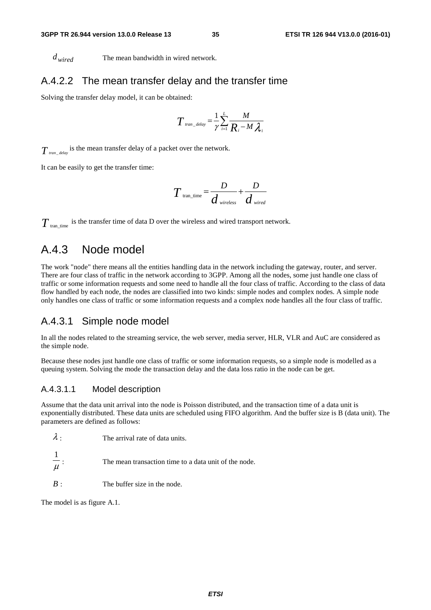$d_{wired}$  The mean bandwidth in wired network.

#### A.4.2.2 The mean transfer delay and the transfer time

Solving the transfer delay model, it can be obtained:

$$
T_{\text{tran\_delay}} = \frac{1}{\gamma} \sum_{i=1}^{L} \frac{M}{R_i - M \lambda_i}
$$

 $T_{\text{tran\_delay}}$  is the mean transfer delay of a packet over the network.

It can be easily to get the transfer time:

$$
T_{\text{tran\_time}} = \frac{D}{d_{\text{wireless}}} + \frac{D}{d_{\text{wired}}}
$$

 $T_{\text{tran time}}$  is the transfer time of data D over the wireless and wired transport network.

### A.4.3 Node model

The work "node" there means all the entities handling data in the network including the gateway, router, and server. There are four class of traffic in the network according to 3GPP. Among all the nodes, some just handle one class of traffic or some information requests and some need to handle all the four class of traffic. According to the class of data flow handled by each node, the nodes are classified into two kinds: simple nodes and complex nodes. A simple node only handles one class of traffic or some information requests and a complex node handles all the four class of traffic.

### A.4.3.1 Simple node model

In all the nodes related to the streaming service, the web server, media server, HLR, VLR and AuC are considered as the simple node.

Because these nodes just handle one class of traffic or some information requests, so a simple node is modelled as a queuing system. Solving the mode the transaction delay and the data loss ratio in the node can be get.

#### A.4.3.1.1 Model description

Assume that the data unit arrival into the node is Poisson distributed, and the transaction time of a data unit is exponentially distributed. These data units are scheduled using FIFO algorithm. And the buffer size is B (data unit). The parameters are defined as follows:

| $\lambda$ | The arrival rate of data units. |  |
|-----------|---------------------------------|--|
|           |                                 |  |

- μ 1 The mean transaction time to a data unit of the node.
- *B* : The buffer size in the node.

The model is as figure A.1.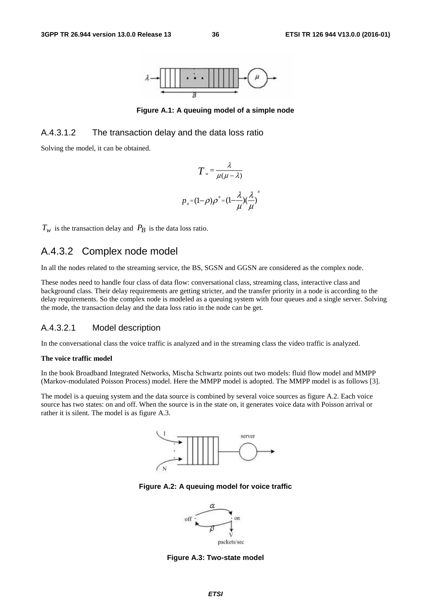

**Figure A.1: A queuing model of a simple node** 

#### A.4.3.1.2 The transaction delay and the data loss ratio

Solving the model, it can be obtained.

$$
T = \frac{\lambda}{\mu(\mu - \lambda)}
$$

$$
p_{B} = (1 - \rho)\rho^{B} = (1 - \frac{\lambda}{\mu})(\frac{\lambda}{\mu})
$$

*B*

 $T_w$  is the transaction delay and  $P_B$  is the data loss ratio.

### A.4.3.2 Complex node model

In all the nodes related to the streaming service, the BS, SGSN and GGSN are considered as the complex node.

These nodes need to handle four class of data flow: conversational class, streaming class, interactive class and background class. Their delay requirements are getting stricter, and the transfer priority in a node is according to the delay requirements. So the complex node is modeled as a queuing system with four queues and a single server. Solving the mode, the transaction delay and the data loss ratio in the node can be get.

#### A.4.3.2.1 Model description

In the conversational class the voice traffic is analyzed and in the streaming class the video traffic is analyzed.

#### **The voice traffic model**

In the book Broadband Integrated Networks, Mischa Schwartz points out two models: fluid flow model and MMPP (Markov-modulated Poisson Process) model. Here the MMPP model is adopted. The MMPP model is as follows [3].

The model is a queuing system and the data source is combined by several voice sources as figure A.2. Each voice source has two states: on and off. When the source is in the state on, it generates voice data with Poisson arrival or rather it is silent. The model is as figure A.3.



**Figure A.2: A queuing model for voice traffic** 



**Figure A.3: Two-state model**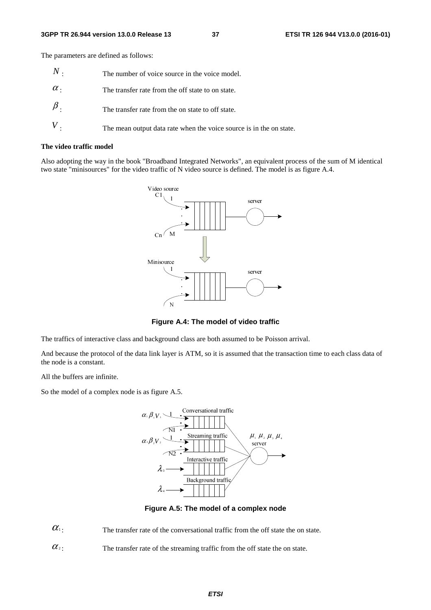The parameters are defined as follows:

| $N$ .      | The number of voice source in the voice model.                      |
|------------|---------------------------------------------------------------------|
| $\alpha$ . | The transfer rate from the off state to on state.                   |
| $\beta$ .  | The transfer rate from the on state to off state.                   |
|            | The mean output data rate when the voice source is in the on state. |

#### **The video traffic model**

Also adopting the way in the book "Broadband Integrated Networks", an equivalent process of the sum of M identical two state "minisources" for the video traffic of N video source is defined. The model is as figure A.4.



**Figure A.4: The model of video traffic** 

The traffics of interactive class and background class are both assumed to be Poisson arrival.

And because the protocol of the data link layer is ATM, so it is assumed that the transaction time to each class data of the node is a constant.

All the buffers are infinite.

So the model of a complex node is as figure A.5.



**Figure A.5: The model of a complex node** 

 $\alpha_1$ : The transfer rate of the conversational traffic from the off state the on state.

 $\alpha$ <sup>2</sup>: The transfer rate of the streaming traffic from the off state the on state.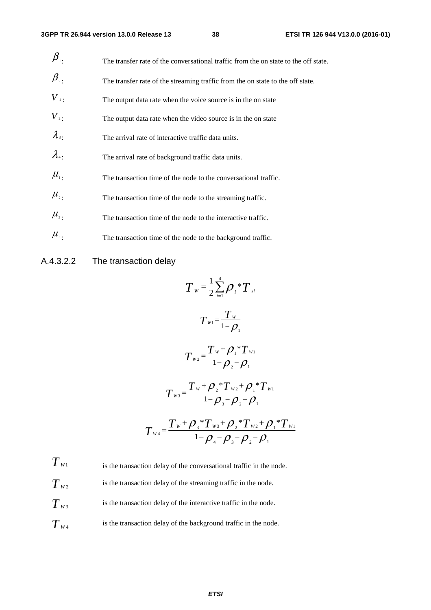| $\beta_{\scriptscriptstyle \rm 1}$ | The transfer rate of the conversational traffic from the on state to the off state. |
|------------------------------------|-------------------------------------------------------------------------------------|
| $\beta_{\scriptscriptstyle 2}$     | The transfer rate of the streaming traffic from the on state to the off state.      |
| $V_{\perp}$                        | The output data rate when the voice source is in the on state                       |
| $V_{2}$ .                          | The output data rate when the video source is in the on state                       |
| $\lambda_{3}$ .                    | The arrival rate of interactive traffic data units.                                 |
| $\lambda_{4}$                      | The arrival rate of background traffic data units.                                  |
| $\mu_{\scriptscriptstyle 1}$       | The transaction time of the node to the conversational traffic.                     |
| $\mu_{\scriptscriptstyle 2}$ .     | The transaction time of the node to the streaming traffic.                          |
| $\mu_{\scriptscriptstyle 3}$ .     | The transaction time of the node to the interactive traffic.                        |
| $\mu_{\scriptscriptstyle 4}$ .     | The transaction time of the node to the background traffic.                         |

### A.4.3.2.2 The transaction delay

$$
T_{w} = \frac{1}{2} \sum_{i=1}^{4} \rho_{i} {}^{*}T_{si}
$$
  
\n
$$
T_{w1} = \frac{T_{w}}{1-\rho_{1}}
$$
  
\n
$$
T_{w2} = \frac{T_{w} + \rho_{1} {}^{*}T_{w1}}{1-\rho_{2} - \rho_{1}}
$$
  
\n
$$
T_{w3} = \frac{T_{w} + \rho_{2} {}^{*}T_{w2} + \rho_{1} {}^{*}T_{w1}}{1-\rho_{3} - \rho_{2} - \rho_{1}}
$$
  
\n
$$
T_{w4} = \frac{T_{w} + \rho_{3} {}^{*}T_{w3} + \rho_{2} {}^{*}T_{w2} + \rho_{1} {}^{*}T_{w1}}{1-\rho_{4} - \rho_{3} - \rho_{2} - \rho_{1}}
$$
  
\n
$$
T_{w1}
$$
 is the transaction delay of the conversational traffic in the node.

 $T_{W2}$  is the transaction delay of the streaming traffic in the node.  $T_{W3}$  is the transaction delay of the interactive traffic in the node.

 $T_{W4}$  is the transaction delay of the background traffic in the node.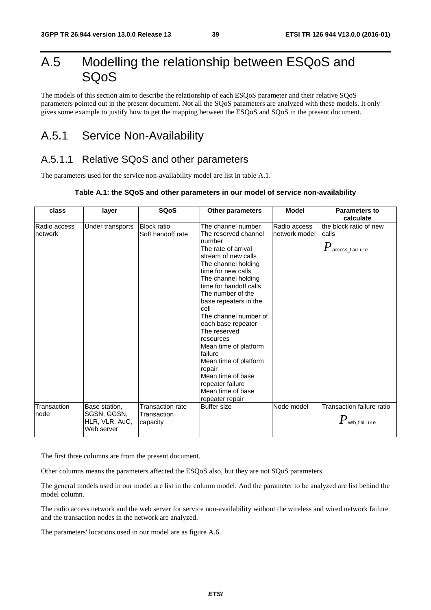## A.5 Modelling the relationship between ESQoS and SQoS

The models of this section aim to describe the relationship of each ESQoS parameter and their relative SQoS parameters pointed out in the present document. Not all the SQoS parameters are analyzed with these models. It only gives some example to justify how to get the mapping between the ESQoS and SQoS in the present document.

## A.5.1 Service Non-Availability

### A.5.1.1 Relative SQoS and other parameters

The parameters used for the service non-availability model are list in table A.1.

#### **Table A.1: the SQoS and other parameters in our model of service non-availability**

| class                   | layer                                                        | <b>SQoS</b>                                 | <b>Other parameters</b>                                                                                                                                                                                                                                                                                                                                                                                                                                                                    | <b>Model</b>                  | <b>Parameters to</b><br>calculate                               |
|-------------------------|--------------------------------------------------------------|---------------------------------------------|--------------------------------------------------------------------------------------------------------------------------------------------------------------------------------------------------------------------------------------------------------------------------------------------------------------------------------------------------------------------------------------------------------------------------------------------------------------------------------------------|-------------------------------|-----------------------------------------------------------------|
| Radio access<br>network | Under transports                                             | <b>Block</b> ratio<br>Soft handoff rate     | The channel number<br>The reserved channel<br>number<br>The rate of arrival<br>stream of new calls<br>The channel holding<br>time for new calls<br>The channel holding<br>time for handoff calls<br>The number of the<br>base repeaters in the<br>cell<br>The channel number of<br>each base repeater<br>The reserved<br>resources<br>Mean time of platform<br>failure<br>Mean time of platform<br>repair<br>Mean time of base<br>repeater failure<br>Mean time of base<br>repeater repair | Radio access<br>network model | the block ratio of new<br>calls<br>$P_{\,\rm access\_fail}$ ure |
| Transaction<br>node     | Base station,<br>SGSN, GGSN,<br>HLR, VLR, AuC,<br>Web server | Transaction rate<br>Transaction<br>capacity | <b>Buffer size</b>                                                                                                                                                                                                                                                                                                                                                                                                                                                                         | Node model                    | Transaction failure ratio<br>$P$ web_failure                    |

The first three columns are from the present document.

Other columns means the parameters affected the ESQoS also, but they are not SQoS parameters.

The general models used in our model are list in the column model. And the parameter to be analyzed are list behind the model column.

The radio access network and the web server for service non-availability without the wireless and wired network failure and the transaction nodes in the network are analyzed.

The parameters' locations used in our model are as figure A.6.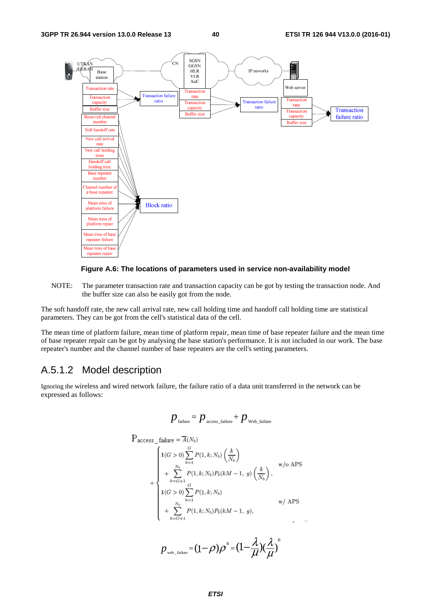



NOTE: The parameter transaction rate and transaction capacity can be got by testing the transaction node. And the buffer size can also be easily got from the node.

The soft handoff rate, the new call arrival rate, new call holding time and handoff call holding time are statistical parameters. They can be got from the cell's statistical data of the cell.

The mean time of platform failure, mean time of platform repair, mean time of base repeater failure and the mean time of base repeater repair can be got by analysing the base station's performance. It is not included in our work. The base repeater's number and the channel number of base repeaters are the cell's setting parameters.

### A.5.1.2 Model description

Ignoring the wireless and wired network failure, the failure ratio of a data unit transferred in the network can be expressed as follows:

$$
p_{\text{failure}} = p_{\text{access\_failure}} + p_{\text{web\_failure}}
$$

$$
P_{access\_failure} = \overline{A}(N_b)
$$
\n
$$
+ \begin{cases}\n1(G > 0) \sum_{k=1}^{G} P(1, k; N_b) \left(\frac{k}{N_b}\right) & \text{w/o APS} \\
+ \sum_{k=G+1}^{N_b} P(1, k; N_b) P_b(kM - 1, g) \left(\frac{k}{N_b}\right), & \text{w/o APS} \\
1(G > 0) \sum_{k=1}^{G} P(1, k; N_b) & \text{w/APS} \\
+ \sum_{k=G+1}^{N_b} P(1, k; N_b) P_b(kM - 1, g), & \text{w/APS}\n\end{cases}
$$

 $p_{\text{\tiny{web\_failure}}} \!=\! (1 \!-\! \rho) \rho^{\text{\tiny{B}}} \!=\! (1 \!-\! \frac{\lambda}{\mu}){( \frac{\lambda}{\mu} )}^{\text{\tiny{B}}}$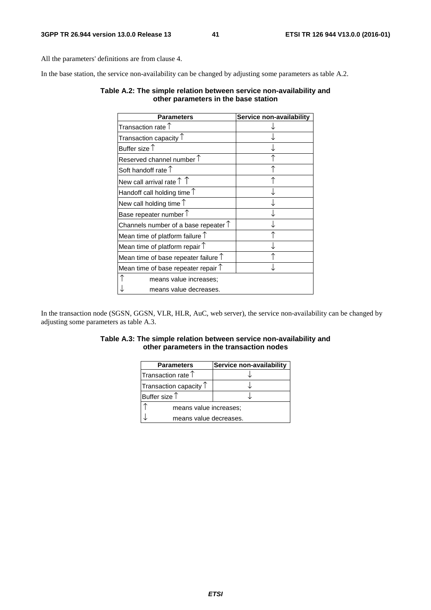All the parameters' definitions are from clause 4.

In the base station, the service non-availability can be changed by adjusting some parameters as table A.2.

#### **Table A.2: The simple relation between service non-availability and other parameters in the base station**

| <b>Parameters</b>                                    | Service non-availability |
|------------------------------------------------------|--------------------------|
| Transaction rate $\uparrow$                          |                          |
| Transaction capacity $\textcolor{black}{\mathsf{T}}$ |                          |
| Buffer size $\uparrow$                               |                          |
| Reserved channel number $\uparrow$                   |                          |
| Soft handoff rate T                                  |                          |
| New call arrival rate $\uparrow \uparrow$            |                          |
| Handoff call holding time $\uparrow$                 |                          |
| New call holding time $\uparrow$                     |                          |
| Base repeater number $\uparrow$                      |                          |
| Channels number of a base repeater $\uparrow$        |                          |
| Mean time of platform failure $\int$                 |                          |
| Mean time of platform repair $\uparrow$              |                          |
| Mean time of base repeater failure $\uparrow$        |                          |
| Mean time of base repeater repair $\uparrow$         |                          |
| means value increases;                               |                          |
| means value decreases.                               |                          |

In the transaction node (SGSN, GGSN, VLR, HLR, AuC, web server), the service non-availability can be changed by adjusting some parameters as table A.3.

| Table A.3: The simple relation between service non-availability and |                                           |  |  |
|---------------------------------------------------------------------|-------------------------------------------|--|--|
|                                                                     | other parameters in the transaction nodes |  |  |

| <b>Parameters</b>                                   | Service non-availability |  |  |
|-----------------------------------------------------|--------------------------|--|--|
| Transaction rate $\textcolor{pstcolor}{\mathsf{T}}$ |                          |  |  |
| Transaction capacity $\uparrow$                     |                          |  |  |
| Buffer size $\uparrow$                              |                          |  |  |
|                                                     | means value increases;   |  |  |
| means value decreases.                              |                          |  |  |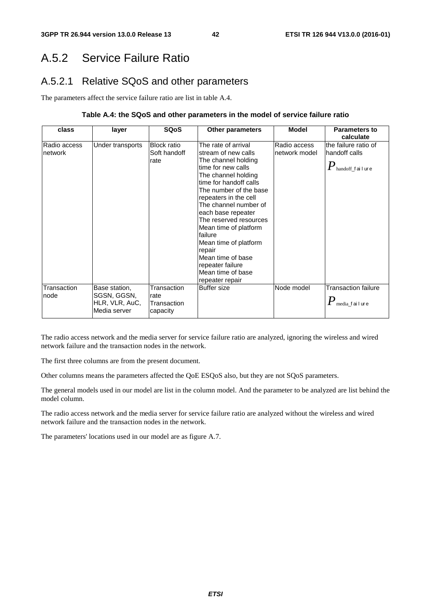## A.5.2 Service Failure Ratio

## A.5.2.1 Relative SQoS and other parameters

The parameters affect the service failure ratio are list in table A.4.

#### **Table A.4: the SQoS and other parameters in the model of service failure ratio**

| class                   | layer                                                          | <b>SQoS</b>                                    | <b>Other parameters</b>                                                                                                                                                                                                                                                                                                                                                                                                      | <b>Model</b>                  | <b>Parameters to</b><br>calculate                                           |
|-------------------------|----------------------------------------------------------------|------------------------------------------------|------------------------------------------------------------------------------------------------------------------------------------------------------------------------------------------------------------------------------------------------------------------------------------------------------------------------------------------------------------------------------------------------------------------------------|-------------------------------|-----------------------------------------------------------------------------|
| Radio access<br>network | Under transports                                               | <b>Block ratio</b><br>Soft handoff<br>rate     | The rate of arrival<br>stream of new calls<br>The channel holding<br>time for new calls<br>The channel holding<br>time for handoff calls<br>The number of the base<br>repeaters in the cell<br>The channel number of<br>each base repeater<br>The reserved resources<br>Mean time of platform<br>failure<br>Mean time of platform<br>repair<br>Mean time of base<br>repeater failure<br>Mean time of base<br>repeater repair | Radio access<br>network model | the failure ratio of<br>handoff calls<br>$\pmb{P}_\text{handoff\_f}$ ailure |
| Transaction<br>node     | Base station,<br>SGSN, GGSN,<br>HLR, VLR, AuC,<br>Media server | Transaction<br>rate<br>Transaction<br>capacity | <b>Buffer size</b>                                                                                                                                                                                                                                                                                                                                                                                                           | Node model                    | <b>Transaction failure</b><br>$P_{\scriptscriptstyle \rm{median}$ failure   |

The radio access network and the media server for service failure ratio are analyzed, ignoring the wireless and wired network failure and the transaction nodes in the network.

The first three columns are from the present document.

Other columns means the parameters affected the QoE ESQoS also, but they are not SQoS parameters.

The general models used in our model are list in the column model. And the parameter to be analyzed are list behind the model column.

The radio access network and the media server for service failure ratio are analyzed without the wireless and wired network failure and the transaction nodes in the network.

The parameters' locations used in our model are as figure A.7.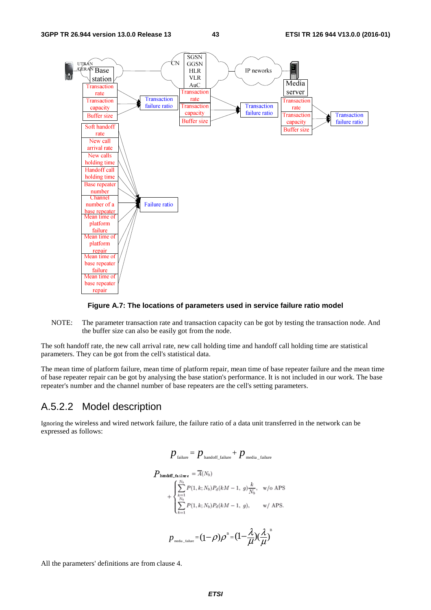

#### **Figure A.7: The locations of parameters used in service failure ratio model**

NOTE: The parameter transaction rate and transaction capacity can be got by testing the transaction node. And the buffer size can also be easily got from the node.

The soft handoff rate, the new call arrival rate, new call holding time and handoff call holding time are statistical parameters. They can be got from the cell's statistical data.

The mean time of platform failure, mean time of platform repair, mean time of base repeater failure and the mean time of base repeater repair can be got by analysing the base station's performance. It is not included in our work. The base repeater's number and the channel number of base repeaters are the cell's setting parameters.

#### A.5.2.2 Model description

Ignoring the wireless and wired network failure, the failure ratio of a data unit transferred in the network can be expressed as follows:

$$
p_{\text{failure}} = p_{\text{handoff\_failure}} + p_{\text{media\_failure}}
$$
\n
$$
P_{\text{handoff\_failure}} = \overline{A}(N_b)
$$
\n
$$
+ \begin{cases} \sum_{k=1}^{N_b} P(1, k; N_b) P_d(kM - 1, g) \frac{k}{N_b}, & \text{w/o APS} \\ \sum_{k=1}^{N_b} P(1, k; N_b) P_d(kM - 1, g), & \text{w/APS.} \end{cases}
$$
\n
$$
p_{\text{media\_failure}} = (1 - \rho) \rho^B = (1 - \frac{\lambda}{\mu})(\frac{\lambda}{\mu})^B
$$

All the parameters' definitions are from clause 4.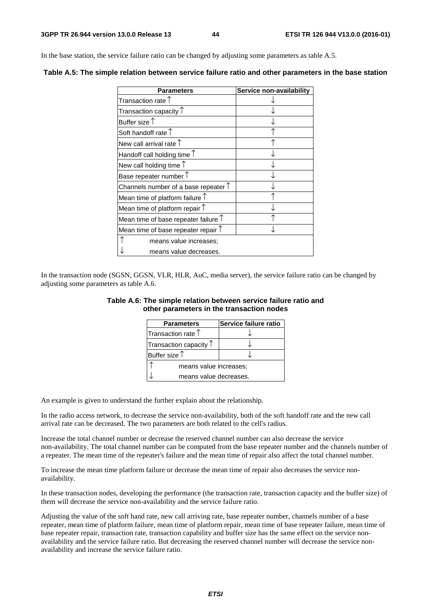In the base station, the service failure ratio can be changed by adjusting some parameters as table A.5.

| <b>Parameters</b>                             | Service non-availability |
|-----------------------------------------------|--------------------------|
| Transaction rate $\uparrow$                   |                          |
| Transaction capacity $\mathop{\Upsilon}$      |                          |
| Buffer size $\uparrow$                        |                          |
| Soft handoff rate $\uparrow$                  |                          |
| New call arrival rate $\uparrow$              |                          |
| Handoff call holding time $\uparrow$          |                          |
| New call holding time $\uparrow$              |                          |
| Base repeater number $\uparrow$               |                          |
| Channels number of a base repeater $\uparrow$ |                          |
| Mean time of platform failure $\uparrow$      |                          |
| Mean time of platform repair $\uparrow$       |                          |
| Mean time of base repeater failure $\uparrow$ |                          |
| Mean time of base repeater repair $\uparrow$  |                          |
| means value increases;                        |                          |
| means value decreases.                        |                          |

**Table A.5: The simple relation between service failure ratio and other parameters in the base station** 

In the transaction node (SGSN, GGSN, VLR, HLR, AuC, media server), the service failure ratio can be changed by adjusting some parameters as table A.6.

|                                           | Table A.6: The simple relation between service failure ratio and |  |
|-------------------------------------------|------------------------------------------------------------------|--|
| other parameters in the transaction nodes |                                                                  |  |

| <b>Parameters</b>               | Service failure ratio  |  |  |
|---------------------------------|------------------------|--|--|
| Transaction rate $†$            |                        |  |  |
| Transaction capacity $\uparrow$ |                        |  |  |
| Buffer size $\uparrow$          |                        |  |  |
|                                 | means value increases; |  |  |
| means value decreases.          |                        |  |  |

An example is given to understand the further explain about the relationship.

In the radio access network, to decrease the service non-availability, both of the soft handoff rate and the new call arrival rate can be decreased. The two parameters are both related to the cell's radius.

Increase the total channel number or decrease the reserved channel number can also decrease the service non-availability. The total channel number can be computed from the base repeater number and the channels number of a repeater. The mean time of the repeater's failure and the mean time of repair also affect the total channel number.

To increase the mean time platform failure or decrease the mean time of repair also decreases the service nonavailability.

In these transaction nodes, developing the performance (the transaction rate, transaction capacity and the buffer size) of them will decrease the service non-availability and the service failure ratio.

Adjusting the value of the soft hand rate, new call arriving rate, base repeater number, channels number of a base repeater, mean time of platform failure, mean time of platform repair, mean time of base repeater failure, mean time of base repeater repair, transaction rate, transaction capability and buffer size has the same effect on the service nonavailability and the service failure ratio. But decreasing the reserved channel number will decrease the service nonavailability and increase the service failure ratio.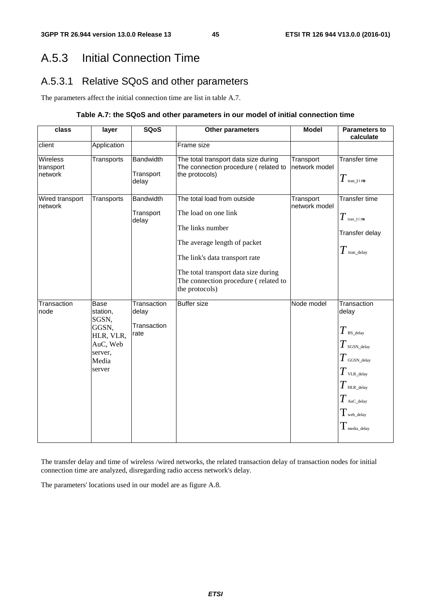## A.5.3 Initial Connection Time

## A.5.3.1 Relative SQoS and other parameters

The parameters affect the initial connection time are list in table A.7.

#### **Table A.7: the SQoS and other parameters in our model of initial connection time**

| class                            | layer                                                                                            | <b>SQoS</b>                                 | Other parameters                                                                                                                                                                                                                            | <b>Model</b>               | <b>Parameters to</b><br>calculate                                                                                                                                              |
|----------------------------------|--------------------------------------------------------------------------------------------------|---------------------------------------------|---------------------------------------------------------------------------------------------------------------------------------------------------------------------------------------------------------------------------------------------|----------------------------|--------------------------------------------------------------------------------------------------------------------------------------------------------------------------------|
| client                           | Application                                                                                      |                                             | Frame size                                                                                                                                                                                                                                  |                            |                                                                                                                                                                                |
| Wireless<br>transport<br>network | Transports                                                                                       | <b>Bandwidth</b><br>Transport<br>delay      | The total transport data size during<br>The connection procedure (related to<br>the protocols)                                                                                                                                              | Transport<br>network model | Transfer time<br>$T$ tran time                                                                                                                                                 |
| Wired transport<br>network       | Transports                                                                                       | <b>Bandwidth</b><br>Transport<br>delay      | The total load from outside<br>The load on one link<br>The links number<br>The average length of packet<br>The link's data transport rate<br>The total transport data size during<br>The connection procedure (related to<br>the protocols) | Transport<br>network model | <b>Transfer time</b><br>$T$ tran_t i me<br>Transfer delay<br>$T$ tran_delay                                                                                                    |
| Transaction<br>node              | <b>Base</b><br>station.<br>SGSN,<br>GGSN,<br>HLR, VLR,<br>AuC, Web<br>server,<br>Media<br>server | Transaction<br>delay<br>Transaction<br>rate | <b>Buffer size</b>                                                                                                                                                                                                                          | Node model                 | Transaction<br>delay<br>$T$ BS_delay<br>$T_{\,\rm SGSN\_delay}$<br>$T$ GGSN_delay<br>$T$ vlr._delay<br>$T$ HLR_delay<br>$T$ AuC_delay<br>$T_{\rm web\_delay}$<br>I media_delay |

The transfer delay and time of wireless /wired networks, the related transaction delay of transaction nodes for initial connection time are analyzed, disregarding radio access network's delay.

The parameters' locations used in our model are as figure A.8.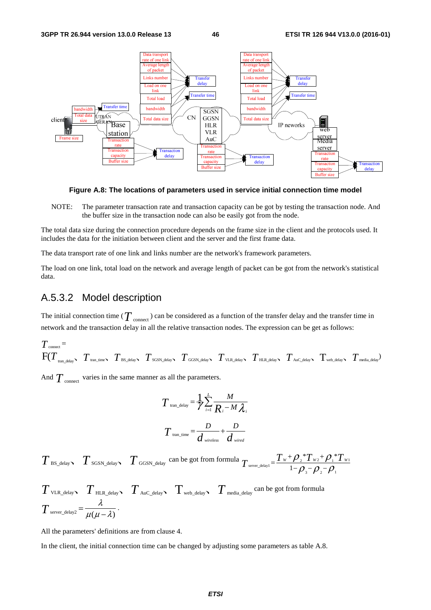

**Figure A.8: The locations of parameters used in service initial connection time model** 

NOTE: The parameter transaction rate and transaction capacity can be got by testing the transaction node. And the buffer size in the transaction node can also be easily got from the node.

The total data size during the connection procedure depends on the frame size in the client and the protocols used. It includes the data for the initiation between client and the server and the first frame data.

The data transport rate of one link and links number are the network's framework parameters.

The load on one link, total load on the network and average length of packet can be got from the network's statistical data.

### A.5.3.2 Model description

The initial connection time ( $T_{\text{connect}}$ ) can be considered as a function of the transfer delay and the transfer time in network and the transaction delay in all the relative transaction nodes. The expression can be get as follows:

$$
T_{\text{connect}} = \nF(T_{\text{tran\_delay}}, T_{\text{tran\_time}}, T_{\text{BS\_delay}}, T_{\text{SGSN\_delay}}, T_{\text{GGSN\_delay}}, T_{\text{VLR\_delay}}, T_{\text{HL\_delay}}, T_{\text{Auc\_delay}}, T_{\text{web\_delay}}, T_{\text{median}})
$$

And  $T_{\text{connect}}$  varies in the same manner as all the parameters.

$$
T_{\text{tran\_delay}} = \frac{1}{\gamma} \sum_{i=1}^{L} \frac{M}{R_i - M \lambda_i}
$$

$$
T_{\text{tran\_time}} = \frac{D}{d_{\text{wireless}}} + \frac{D}{d_{\text{wired}}}
$$

 $T$ <sub>BS\_delay  $T$ <sub>SGSN\_delay</sub>  $T$ <sub>GGSN\_delay</sub> can be got from formula  $T$ <sub>server\_delay1</sub> =  $\frac{T_w + \rho_z * T_{w_2} + \rho_1 * T_{w_1}}{1 - \rho_z + \rho_z}$ </sub> 3  $\mu_2$   $\mu_1$  $T_{w_2}$  +  $Q^*$  $T_{\text{server\_delay1}} = \frac{T_w + \rho_{2} * T_{w2} + \rho_{1} * T_w}{1 - \rho_{3} - \rho_{2} - \rho_{1}}$ 

$$
T_{\text{VLR\_delay}} \sum_{\text{HLR\_delay}} T_{\text{HLR\_delay}} \sum_{\text{Auc\_delay}} T_{\text{web\_delay}} \sum_{\text{median}} T_{\text{median}} \text{ can be got from formula}
$$
  

$$
T_{\text{server\_delay}} = \frac{\lambda}{\mu(\mu - \lambda)}.
$$

All the parameters' definitions are from clause 4.

In the client, the initial connection time can be changed by adjusting some parameters as table A.8.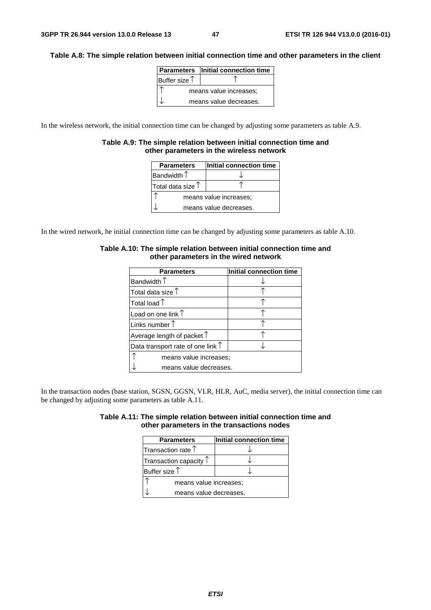#### **Table A.8: The simple relation between initial connection time and other parameters in the client**

|                        | Parameters   Initial connection time |  |  |
|------------------------|--------------------------------------|--|--|
| Buffer size $\uparrow$ |                                      |  |  |
|                        | means value increases;               |  |  |
|                        | means value decreases.               |  |  |

In the wireless network, the initial connection time can be changed by adjusting some parameters as table A.9.

#### **Table A.9: The simple relation between initial connection time and other parameters in the wireless network**

| <b>Parameters</b>          | Initial connection time |
|----------------------------|-------------------------|
| Bandwidth $\uparrow$       |                         |
| Total data size $\uparrow$ |                         |
|                            | means value increases;  |
|                            | means value decreases.  |

In the wired network, he initial connection time can be changed by adjusting some parameters as table A.10.

| <b>Parameters</b>                          | Initial connection time |
|--------------------------------------------|-------------------------|
| Bandwidth $\uparrow$                       |                         |
| Total data size $\uparrow$                 |                         |
| Total load $\uparrow$                      |                         |
| Load on one link $\uparrow$                |                         |
| Links number $\uparrow$                    |                         |
| Average length of packet $\uparrow$        |                         |
| Data transport rate of one link $\uparrow$ |                         |
| means value increases;                     |                         |
| means value decreases.                     |                         |

#### **Table A.10: The simple relation between initial connection time and other parameters in the wired network**

In the transaction nodes (base station, SGSN, GGSN, VLR, HLR, AuC, media server), the initial connection time can be changed by adjusting some parameters as table A.11.

| Table A.11: The simple relation between initial connection time and |  |
|---------------------------------------------------------------------|--|
| other parameters in the transactions nodes                          |  |

| <b>Parameters</b>               | Initial connection time |  |  |  |
|---------------------------------|-------------------------|--|--|--|
| Transaction rate $\uparrow$     |                         |  |  |  |
| Transaction capacity $\uparrow$ |                         |  |  |  |
| Buffer size $\uparrow$          |                         |  |  |  |
|                                 | means value increases;  |  |  |  |
| means value decreases.          |                         |  |  |  |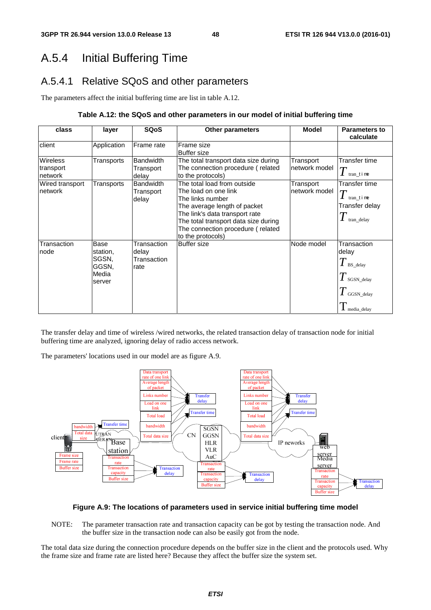## A.5.4 Initial Buffering Time

### A.5.4.1 Relative SQoS and other parameters

The parameters affect the initial buffering time are list in table A.12.

#### **Table A.12: the SQoS and other parameters in our model of initial buffering time**

| class                                   | layer                                                 | <b>SQoS</b>                                 | <b>Other parameters</b>                                                                                                                                                                                                                     | Model                      | <b>Parameters to</b><br>calculate                                                                                        |
|-----------------------------------------|-------------------------------------------------------|---------------------------------------------|---------------------------------------------------------------------------------------------------------------------------------------------------------------------------------------------------------------------------------------------|----------------------------|--------------------------------------------------------------------------------------------------------------------------|
| client                                  | Application                                           | Frame rate                                  | Frame size<br><b>Buffer size</b>                                                                                                                                                                                                            |                            |                                                                                                                          |
| <b>Wireless</b><br>transport<br>network | Transports                                            | <b>Bandwidth</b><br>Transport<br>delay      | The total transport data size during<br>The connection procedure (related<br>to the protocols)                                                                                                                                              | Transport<br>network model | Transfer time<br>$T$ tran_t i me                                                                                         |
| Wired transport<br>network              | Transports                                            | <b>Bandwidth</b><br>Transport<br>delay      | The total load from outside<br>The load on one link<br>The links number<br>The average length of packet<br>The link's data transport rate<br>The total transport data size during<br>The connection procedure (related<br>to the protocols) | Transport<br>network model | Transfer time<br>l $T$ tran_t i me<br>Transfer delay<br>$\boldsymbol{I}$ tran_delay                                      |
| Transaction<br>node                     | Base<br>station,<br>SGSN,<br>GGSN,<br>Media<br>server | Transaction<br>delay<br>Transaction<br>rate | <b>Buffer size</b>                                                                                                                                                                                                                          | Node model                 | Transaction<br>delay<br>$T$ BS_delay<br>$T{\scriptstyle_{\rm SGSN\_delay}}$<br>$T$ GGSN_delay<br>$\mathbf 1$ media_delay |

The transfer delay and time of wireless /wired networks, the related transaction delay of transaction node for initial buffering time are analyzed, ignoring delay of radio access network.

The parameters' locations used in our model are as figure A.9.



#### **Figure A.9: The locations of parameters used in service initial buffering time model**

NOTE: The parameter transaction rate and transaction capacity can be got by testing the transaction node. And the buffer size in the transaction node can also be easily got from the node.

The total data size during the connection procedure depends on the buffer size in the client and the protocols used. Why the frame size and frame rate are listed here? Because they affect the buffer size the system set.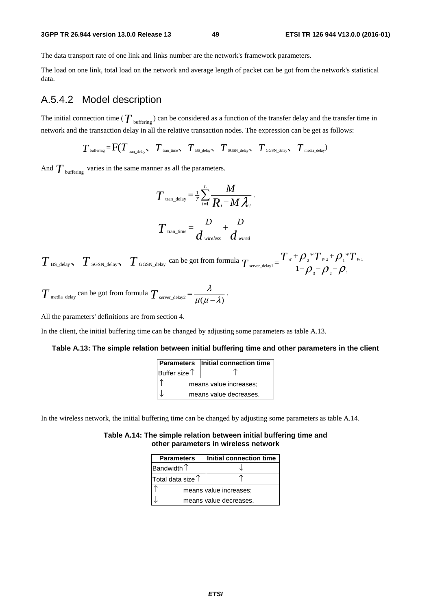#### **3GPP TR 26.944 version 13.0.0 Release 13 49 ETSI TR 126 944 V13.0.0 (2016-01)**

The data transport rate of one link and links number are the network's framework parameters.

The load on one link, total load on the network and average length of packet can be got from the network's statistical data.

### A.5.4.2 Model description

The initial connection time ( $T_{\text{buffering}}$ ) can be considered as a function of the transfer delay and the transfer time in network and the transaction delay in all the relative transaction nodes. The expression can be get as follows:

$$
T_{\text{buffering}} = F(T_{\text{tran\_delay}}, T_{\text{tran\_time}}, T_{\text{BS\_delay}}, T_{\text{SGSN\_delay}}, T_{\text{GGSN\_delay}}, T_{\text{median}})
$$

And  $T_{\text{buffering}}$  varies in the same manner as all the parameters.

$$
T_{\text{tran\_delay}} = \frac{1}{\gamma} \sum_{i=1}^{L} \frac{M}{R_i - M \lambda_i}.
$$

$$
T_{\text{tran\_time}} = \frac{D}{d_{\text{wireless}}} + \frac{D}{d_{\text{wireed}}}
$$

 $T_{\text{BS\_delay}}$   $T_{\text{SGSN\_delay}}$   $T_{\text{GGSN\_delay}}$  can be got from formula  $T_{\text{server\_delay1}} = \frac{T_w + \rho_z * T_{wz} + \rho_1 * T_{wz}}{1 - \rho_z + \rho_z * T_{wz}}$ 3  $\mathcal{V}$  2  $\mathcal{V}$  1  $T_{w}$  +  $\mathcal{O}$ .\*  $T_{\text{\tiny server\_delay1}} = \frac{T_{w} + \rho_{_2} {^*} T_{w_2} {^*} \rho_{_1} {^*} T_{w_2}}{1 {-} \rho_{_3} {-} \rho_{_2} {-} \rho_{_1}}$ 

$$
T_{\text{median}}
$$
 can be got from formula  $T_{\text{server\_delay2}} = \frac{\lambda}{\mu(\mu - \lambda)}$ .

All the parameters' definitions are from section 4.

In the client, the initial buffering time can be changed by adjusting some parameters as table A.13.

#### **Table A.13: The simple relation between initial buffering time and other parameters in the client**

|                        | Parameters   Initial connection time |  |  |
|------------------------|--------------------------------------|--|--|
| Buffer size $\uparrow$ |                                      |  |  |
| means value increases; |                                      |  |  |
|                        | means value decreases.               |  |  |

In the wireless network, the initial buffering time can be changed by adjusting some parameters as table A.14.

#### **Table A.14: The simple relation between initial buffering time and other parameters in wireless network**

| <b>Parameters</b>          | Initial connection time |  |  |  |
|----------------------------|-------------------------|--|--|--|
| Bandwidth $\uparrow$       |                         |  |  |  |
| Total data size $\uparrow$ |                         |  |  |  |
| means value increases:     |                         |  |  |  |
|                            | means value decreases.  |  |  |  |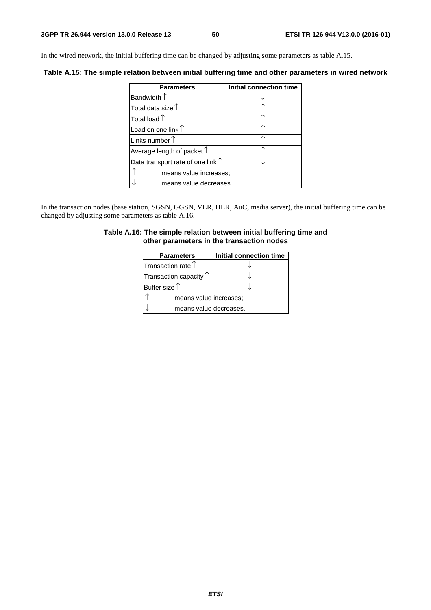In the wired network, the initial buffering time can be changed by adjusting some parameters as table A.15.

**Table A.15: The simple relation between initial buffering time and other parameters in wired network** 

| <b>Parameters</b>                          | Initial connection time |  |  |
|--------------------------------------------|-------------------------|--|--|
| Bandwidth $\uparrow$                       |                         |  |  |
| Total data size $\uparrow$                 |                         |  |  |
| Total load $\uparrow$                      |                         |  |  |
| Load on one link $\uparrow$                |                         |  |  |
| Links number $\uparrow$                    |                         |  |  |
| Average length of packet $\uparrow$        |                         |  |  |
| Data transport rate of one link $\uparrow$ |                         |  |  |
| means value increases;                     |                         |  |  |
| means value decreases.                     |                         |  |  |

In the transaction nodes (base station, SGSN, GGSN, VLR, HLR, AuC, media server), the initial buffering time can be changed by adjusting some parameters as table A.16.

#### **Table A.16: The simple relation between initial buffering time and other parameters in the transaction nodes**

| <b>Parameters</b>               | Initial connection time |  |  |  |
|---------------------------------|-------------------------|--|--|--|
| Transaction rate $\uparrow$     |                         |  |  |  |
| Transaction capacity $\uparrow$ |                         |  |  |  |
| Buffer size $\uparrow$          |                         |  |  |  |
|                                 | means value increases;  |  |  |  |
| means value decreases.          |                         |  |  |  |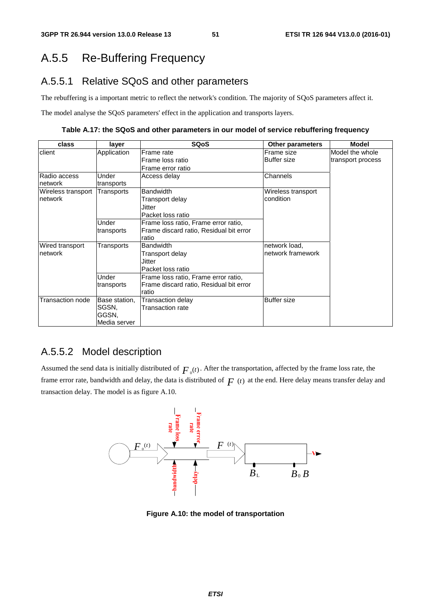## A.5.5 Re-Buffering Frequency

### A.5.5.1 Relative SQoS and other parameters

The rebuffering is a important metric to reflect the network's condition. The majority of SQoS parameters affect it.

The model analyse the SQoS parameters' effect in the application and transports layers.

**Table A.17: the SQoS and other parameters in our model of service rebuffering frequency** 

| class              | layer         | <b>SQoS</b>                             | <b>Other parameters</b> | <b>Model</b>      |
|--------------------|---------------|-----------------------------------------|-------------------------|-------------------|
| client             | Application   | Frame rate                              | Frame size              | Model the whole   |
|                    |               | Frame loss ratio                        | <b>Buffer size</b>      | transport process |
|                    |               | Frame error ratio                       |                         |                   |
| Radio access       | Under         | Access delay                            | Channels                |                   |
| network            | transports    |                                         |                         |                   |
| Wireless transport | Transports    | <b>Bandwidth</b>                        | Wireless transport      |                   |
| network            |               | Transport delay                         | condition               |                   |
|                    |               | Jitter                                  |                         |                   |
|                    |               | Packet loss ratio                       |                         |                   |
|                    | Under         | Frame loss ratio, Frame error ratio,    |                         |                   |
|                    | transports    | Frame discard ratio, Residual bit error |                         |                   |
|                    |               | ratio                                   |                         |                   |
| Wired transport    | Transports    | <b>Bandwidth</b>                        | network load,           |                   |
| network            |               | Transport delay                         | network framework       |                   |
|                    |               | Jitter                                  |                         |                   |
|                    |               | Packet loss ratio                       |                         |                   |
|                    | Under         | Frame loss ratio, Frame error ratio,    |                         |                   |
|                    | transports    | Frame discard ratio, Residual bit error |                         |                   |
|                    |               | ratio                                   |                         |                   |
| Transaction node   | Base station, | Transaction delay                       | <b>Buffer size</b>      |                   |
|                    | SGSN,         | Transaction rate                        |                         |                   |
|                    | GGSN,         |                                         |                         |                   |
|                    | Media server  |                                         |                         |                   |

### A.5.5.2 Model description

Assumed the send data is initially distributed of  $F_0(t)$ . After the transportation, affected by the frame loss rate, the frame error rate, bandwidth and delay, the data is distributed of  $F(t)$  at the end. Here delay means transfer delay and transaction delay. The model is as figure A.10.



**Figure A.10: the model of transportation**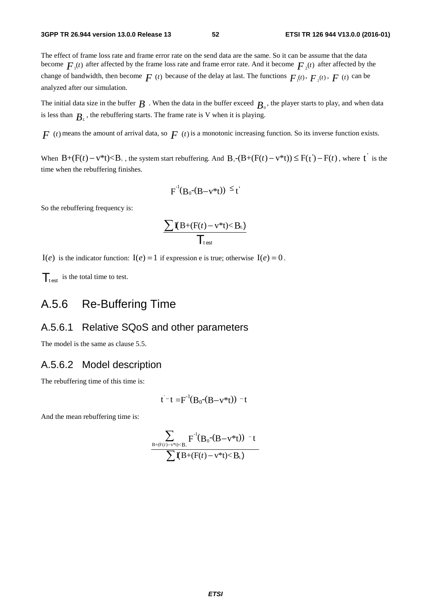The effect of frame loss rate and frame error rate on the send data are the same. So it can be assume that the data become  $F_{\mu}(t)$  after affected by the frame loss rate and frame error rate. And it become  $F_{\mu}(t)$  after affected by the change of bandwidth, then become  $F(t)$  because of the delay at last. The functions  $F_1(t)$ ,  $F_2(t)$ ,  $F(t)$  can be analyzed after our simulation.

The initial data size in the buffer  $B$  . When the data in the buffer exceed  $B_0$ , the player starts to play, and when data is less than  $B_L$ , the rebuffering starts. The frame rate is V when it is playing.

 $F(t)$  means the amount of arrival data, so  $F(t)$  is a monotonic increasing function. So its inverse function exists.

When  $B+(F(t)-v^*t) < B_+$ , the system start rebuffering. And  $B_0-(B+(F(t)-v^*t)) \leq F(t')-F(t)$ , where t is the time when the rebuffering finishes.

$$
F^{-1}(B_0-(B-v^*t)) \leq t'
$$

So the rebuffering frequency is:

$$
\frac{\sum \mathbf{I}(B+(F(t)-v^*t)
$$

 $I(e)$  is the indicator function:  $I(e) = 1$  if expression e is true; otherwise  $I(e) = 0$ .

 $\mathcal{T}_{\text{test}}$  is the total time to test.

## A.5.6 Re-Buffering Time

### A.5.6.1 Relative SQoS and other parameters

The model is the same as clause 5.5.

### A.5.6.2 Model description

The rebuffering time of this time is:

$$
t^-t = F^{-1}(B_0-(B-v^*t)) - t
$$

And the mean rebuffering time is:

$$
\frac{\displaystyle\sum_{B+(F(t)-v^*t) < B_{{\scriptscriptstyle L}}}F^{^{\text{-}1}\hspace{-3pt}}(B_0\text{-} (B\hspace{-0.5pt}-\hspace{-0.5pt}v^*t))\text{ -- }t\hspace{-0.5pt}t}{\displaystyle\sum I\hspace{-0.5pt}\int B\hspace{-0.5pt}+\hspace{-0.5pt}(F(t)\hspace{-0.5pt}-\hspace{-0.5pt}v^*t)\hspace{-0.5pt}<\hspace{-0.5pt}B_{{\scriptscriptstyle L}})}
$$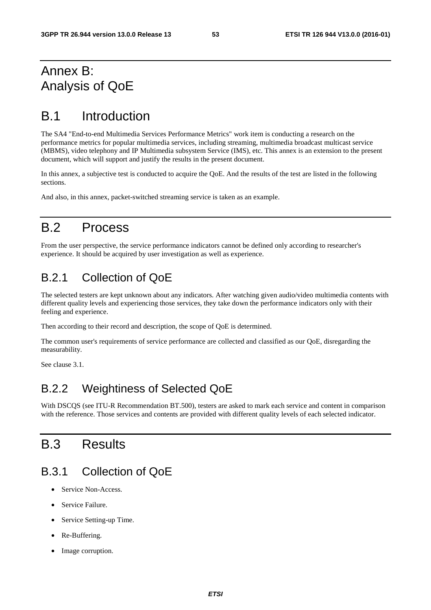## Annex B: Analysis of QoE

## B.1 Introduction

The SA4 "End-to-end Multimedia Services Performance Metrics" work item is conducting a research on the performance metrics for popular multimedia services, including streaming, multimedia broadcast multicast service (MBMS), video telephony and IP Multimedia subsystem Service (IMS), etc. This annex is an extension to the present document, which will support and justify the results in the present document.

In this annex, a subjective test is conducted to acquire the QoE. And the results of the test are listed in the following sections.

And also, in this annex, packet-switched streaming service is taken as an example.

## B.2 Process

From the user perspective, the service performance indicators cannot be defined only according to researcher's experience. It should be acquired by user investigation as well as experience.

## B.2.1 Collection of QoE

The selected testers are kept unknown about any indicators. After watching given audio/video multimedia contents with different quality levels and experiencing those services, they take down the performance indicators only with their feeling and experience.

Then according to their record and description, the scope of QoE is determined.

The common user's requirements of service performance are collected and classified as our QoE, disregarding the measurability.

See clause 3.1.

## B.2.2 Weightiness of Selected QoE

With DSCQS (see ITU-R Recommendation BT.500), testers are asked to mark each service and content in comparison with the reference. Those services and contents are provided with different quality levels of each selected indicator.

## B.3 Results

## B.3.1 Collection of QoE

- Service Non-Access.
- Service Failure.
- Service Setting-up Time.
- Re-Buffering.
- Image corruption.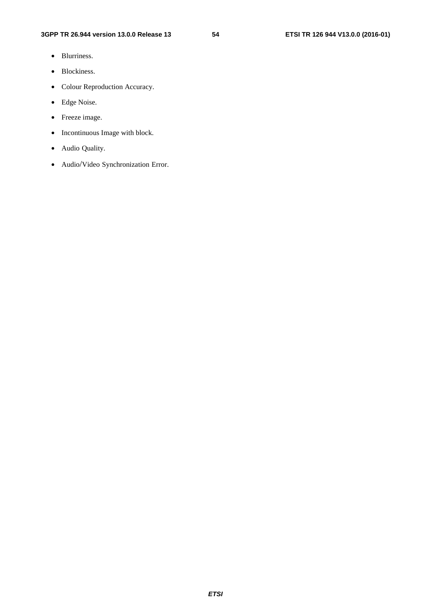- Blurriness.
- Blockiness.
- Colour Reproduction Accuracy.
- Edge Noise.
- Freeze image.
- Incontinuous Image with block.
- Audio Quality.
- Audio/Video Synchronization Error.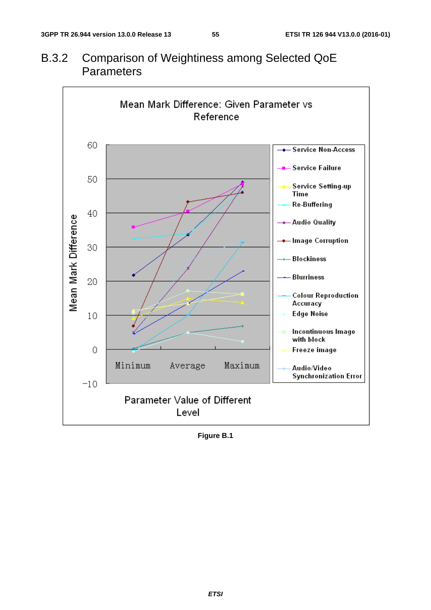### Mean Mark Difference: Given Parameter vs Reference 60  $\leftarrow$  Service Non-Access - Service Failure 50 Service Setting-up **Time** Re-Buffering 40 Mean Mark Difference -\*- Audio Quality — Image Corruption 30 – Blockiness Blurriness 20 **Colour Reproduction** Accuracy **Edge Noise**  $10$ Incontinuous Image with block  $\overline{0}$ Freeze image Minimum Maximum Average Audio/Video **Synchronization Error**  $-10$ Parameter Value of Different Level

## B.3.2 Comparison of Weightiness among Selected QoE **Parameters**

**Figure B.1**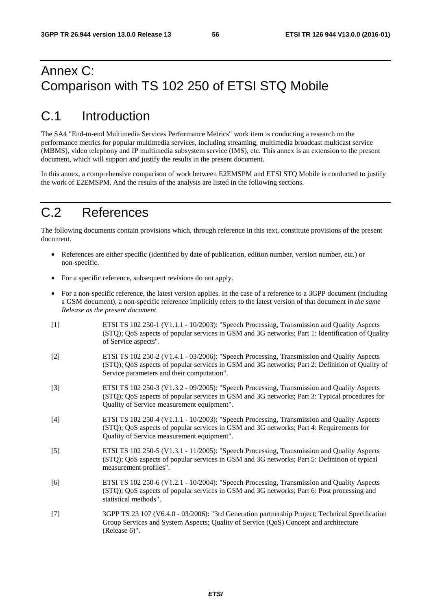## Annex C: Comparison with TS 102 250 of ETSI STQ Mobile

## C.1 Introduction

The SA4 "End-to-end Multimedia Services Performance Metrics" work item is conducting a research on the performance metrics for popular multimedia services, including streaming, multimedia broadcast multicast service (MBMS), video telephony and IP multimedia subsystem service (IMS), etc. This annex is an extension to the present document, which will support and justify the results in the present document.

In this annex, a comprehensive comparison of work between E2EMSPM and ETSI STQ Mobile is conducted to justify the work of E2EMSPM. And the results of the analysis are listed in the following sections.

## C.2 References

The following documents contain provisions which, through reference in this text, constitute provisions of the present document.

- References are either specific (identified by date of publication, edition number, version number, etc.) or non-specific.
- For a specific reference, subsequent revisions do not apply.
- For a non-specific reference, the latest version applies. In the case of a reference to a 3GPP document (including a GSM document), a non-specific reference implicitly refers to the latest version of that document *in the same Release as the present document*.
- [1] ETSI TS 102 250-1 (V1.1.1 10/2003): "Speech Processing, Transmission and Quality Aspects (STQ); QoS aspects of popular services in GSM and 3G networks; Part 1: Identification of Quality of Service aspects".
- [2] ETSI TS 102 250-2 (V1.4.1 03/2006): "Speech Processing, Transmission and Quality Aspects (STQ); QoS aspects of popular services in GSM and 3G networks; Part 2: Definition of Quality of Service parameters and their computation".
- [3] ETSI TS 102 250-3 (V1.3.2 09/2005): "Speech Processing, Transmission and Quality Aspects (STQ); QoS aspects of popular services in GSM and 3G networks; Part 3: Typical procedures for Quality of Service measurement equipment".
- [4] ETSI TS 102 250-4 (V1.1.1 10/2003): "Speech Processing, Transmission and Quality Aspects (STQ); QoS aspects of popular services in GSM and 3G networks; Part 4: Requirements for Quality of Service measurement equipment".
- [5] ETSI TS 102 250-5 (V1.3.1 11/2005): "Speech Processing, Transmission and Quality Aspects (STQ); QoS aspects of popular services in GSM and 3G networks; Part 5: Definition of typical measurement profiles".
- [6] ETSI TS 102 250-6 (V1.2.1 10/2004): "Speech Processing, Transmission and Quality Aspects (STQ); QoS aspects of popular services in GSM and 3G networks; Part 6: Post processing and statistical methods".
- [7] 3GPP TS 23 107 (V6.4.0 03/2006): "3rd Generation partnership Project; Technical Specification Group Services and System Aspects; Quality of Service (QoS) Concept and architecture (Release 6)".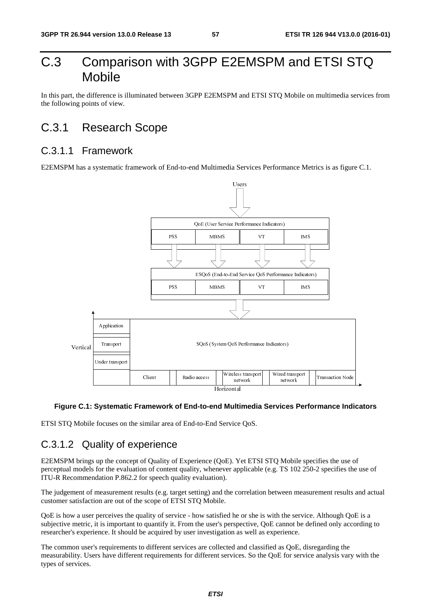## C.3 Comparison with 3GPP E2EMSPM and ETSI STQ Mobile

In this part, the difference is illuminated between 3GPP E2EMSPM and ETSI STQ Mobile on multimedia services from the following points of view.

## C.3.1 Research Scope

### C.3.1.1 Framework

E2EMSPM has a systematic framework of End-to-end Multimedia Services Performance Metrics is as figure C.1.



#### **Figure C.1: Systematic Framework of End-to-end Multimedia Services Performance Indicators**

ETSI STQ Mobile focuses on the similar area of End-to-End Service QoS.

## C.3.1.2 Quality of experience

Client Radio access Horizontal<br>
Horizontal<br>
Horizontal<br>
imilar area of End-to-End Service QoS.<br> **Clience**<br> **Clience**<br> **Clience**<br> **Clience**<br> **Clience**<br> **Clience**<br> **Clience**<br> **Clience**<br> **Clience**<br> **Clience**<br> **Clience**<br> **Clie** International<br>International<br>Transference of the spective<br>and the spective of the spective<br>International control of the spectrum<br>International control of the spectrum<br>International control of the spectrum of the spectrum<br>In The Mobile strategy<br>
The Mobile strategy<br>
TS 102 2<br>
TS 102 2<br>
TS 102 2<br>
TS 102 2<br>
THE SERIE STRIE STRIE CARRIER<br>
COMPOSE STRIES network<br>
ices Performance Indi<br>
IS 102 250-2 specifies th<br>
reen measurement results<br>
the service. Although Qo<br>
innot be defined only acc<br>
rience.<br>
s QoE, disregarding the<br>
l' for service analysis vary E2EMSPM brings up the concept of Quality of Experience (QoE). Yet ETSI STQ Mobile specifies the use of perceptual models for the evaluation of content quality, whenever applicable (e.g. TS 102 250-2 specifies the use of ITU-R Recommendation P.862.2 for speech quality evaluation).

The judgement of measurement results (e.g. target setting) and the correlation between measurement results and actual customer satisfaction are out of the scope of ETSI STQ Mobile.

QoE is how a user perceives the quality of service - how satisfied he or she is with the service. Although QoE is a subjective metric, it is important to quantify it. From the user's perspective, QoE cannot be defined only according to researcher's experience. It should be acquired by user investigation as well as experience.

The common user's requirements to different services are collected and classified as QoE, disregarding the measurability. Users have different requirements for different services. So the QoE for service analysis vary with the types of services.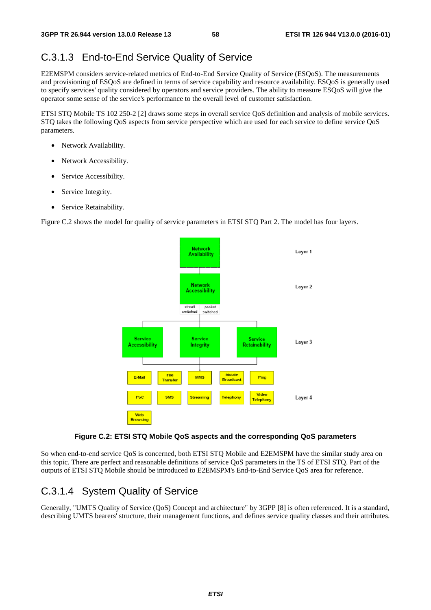## C.3.1.3 End-to-End Service Quality of Service

E2EMSPM considers service-related metrics of End-to-End Service Quality of Service (ESQoS). The measurements and provisioning of ESQoS are defined in terms of service capability and resource availability. ESQoS is generally used to specify services' quality considered by operators and service providers. The ability to measure ESQoS will give the operator some sense of the service's performance to the overall level of customer satisfaction.

ETSI STQ Mobile TS 102 250-2 [2] draws some steps in overall service QoS definition and analysis of mobile services. STQ takes the following QoS aspects from service perspective which are used for each service to define service QoS parameters.

- Network Availability.
- Network Accessibility.
- Service Accessibility.
- Service Integrity.
- Service Retainability.

Figure C.2 shows the model for quality of service parameters in ETSI STQ Part 2. The model has four layers.



#### **Figure C.2: ETSI STQ Mobile QoS aspects and the corresponding QoS parameters**

So when end-to-end service QoS is concerned, both ETSI STQ Mobile and E2EMSPM have the similar study area on this topic. There are perfect and reasonable definitions of service QoS parameters in the TS of ETSI STQ. Part of the outputs of ETSI STQ Mobile should be introduced to E2EMSPM's End-to-End Service QoS area for reference.

### C.3.1.4 System Quality of Service

Generally, "UMTS Quality of Service (QoS) Concept and architecture" by 3GPP [8] is often referenced. It is a standard, describing UMTS bearers' structure, their management functions, and defines service quality classes and their attributes.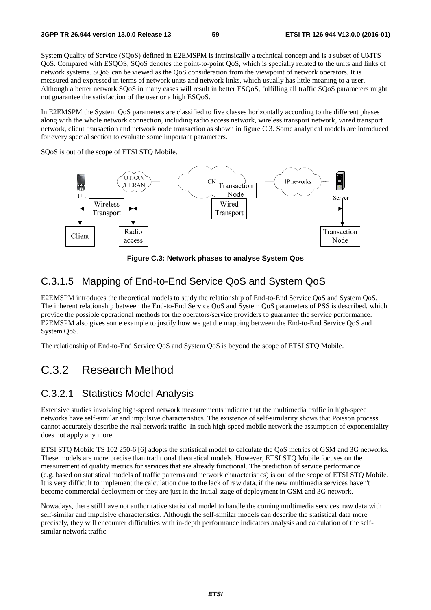System Quality of Service (SQoS) defined in E2EMSPM is intrinsically a technical concept and is a subset of UMTS QoS. Compared with ESQOS, SQoS denotes the point-to-point QoS, which is specially related to the units and links of network systems. SQoS can be viewed as the QoS consideration from the viewpoint of network operators. It is measured and expressed in terms of network units and network links, which usually has little meaning to a user. Although a better network SQoS in many cases will result in better ESQoS, fulfilling all traffic SQoS parameters might not guarantee the satisfaction of the user or a high ESQoS.

In E2EMSPM the System QoS parameters are classified to five classes horizontally according to the different phases along with the whole network connection, including radio access network, wireless transport network, wired transport network, client transaction and network node transaction as shown in figure C.3. Some analytical models are introduced for every special section to evaluate some important parameters.

SQoS is out of the scope of ETSI STQ Mobile.



**Figure C.3: Network phases to analyse System Qos** 

### C.3.1.5 Mapping of End-to-End Service QoS and System QoS

E2EMSPM introduces the theoretical models to study the relationship of End-to-End Service QoS and System QoS. The inherent relationship between the End-to-End Service QoS and System QoS parameters of PSS is described, which provide the possible operational methods for the operators/service providers to guarantee the service performance. E2EMSPM also gives some example to justify how we get the mapping between the End-to-End Service QoS and System QoS.

The relationship of End-to-End Service QoS and System QoS is beyond the scope of ETSI STQ Mobile.

## C.3.2 Research Method

### C.3.2.1 Statistics Model Analysis

Extensive studies involving high-speed network measurements indicate that the multimedia traffic in high-speed networks have self-similar and impulsive characteristics. The existence of self-similarity shows that Poisson process cannot accurately describe the real network traffic. In such high-speed mobile network the assumption of exponentiality does not apply any more.

ETSI STQ Mobile TS 102 250-6 [6] adopts the statistical model to calculate the QoS metrics of GSM and 3G networks. These models are more precise than traditional theoretical models. However, ETSI STQ Mobile focuses on the measurement of quality metrics for services that are already functional. The prediction of service performance (e.g. based on statistical models of traffic patterns and network characteristics) is out of the scope of ETSI STQ Mobile. It is very difficult to implement the calculation due to the lack of raw data, if the new multimedia services haven't become commercial deployment or they are just in the initial stage of deployment in GSM and 3G network.

Nowadays, there still have not authoritative statistical model to handle the coming multimedia services' raw data with self-similar and impulsive characteristics. Although the self-similar models can describe the statistical data more precisely, they will encounter difficulties with in-depth performance indicators analysis and calculation of the selfsimilar network traffic.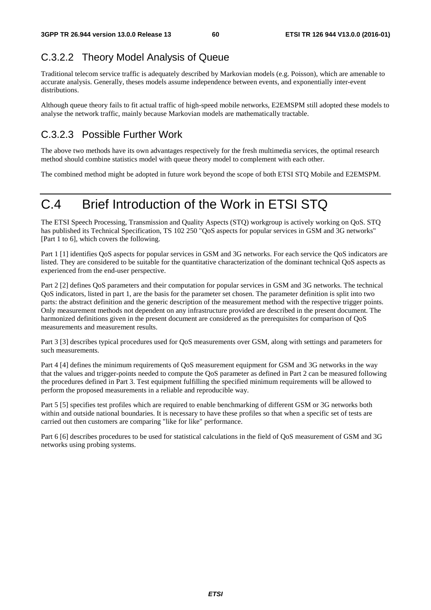## C.3.2.2 Theory Model Analysis of Queue

Traditional telecom service traffic is adequately described by Markovian models (e.g. Poisson), which are amenable to accurate analysis. Generally, theses models assume independence between events, and exponentially inter-event distributions.

Although queue theory fails to fit actual traffic of high-speed mobile networks, E2EMSPM still adopted these models to analyse the network traffic, mainly because Markovian models are mathematically tractable.

### C.3.2.3 Possible Further Work

The above two methods have its own advantages respectively for the fresh multimedia services, the optimal research method should combine statistics model with queue theory model to complement with each other.

The combined method might be adopted in future work beyond the scope of both ETSI STQ Mobile and E2EMSPM.

## C.4 Brief Introduction of the Work in ETSI STQ

The ETSI Speech Processing, Transmission and Quality Aspects (STQ) workgroup is actively working on QoS. STQ has published its Technical Specification, TS 102 250 "QoS aspects for popular services in GSM and 3G networks" [Part 1 to 6], which covers the following.

Part 1 [1] identifies QoS aspects for popular services in GSM and 3G networks. For each service the QoS indicators are listed. They are considered to be suitable for the quantitative characterization of the dominant technical QoS aspects as experienced from the end-user perspective.

Part 2 [2] defines QoS parameters and their computation for popular services in GSM and 3G networks. The technical QoS indicators, listed in part 1, are the basis for the parameter set chosen. The parameter definition is split into two parts: the abstract definition and the generic description of the measurement method with the respective trigger points. Only measurement methods not dependent on any infrastructure provided are described in the present document. The harmonized definitions given in the present document are considered as the prerequisites for comparison of QoS measurements and measurement results.

Part 3 [3] describes typical procedures used for QoS measurements over GSM, along with settings and parameters for such measurements.

Part 4 [4] defines the minimum requirements of QoS measurement equipment for GSM and 3G networks in the way that the values and trigger-points needed to compute the QoS parameter as defined in Part 2 can be measured following the procedures defined in Part 3. Test equipment fulfilling the specified minimum requirements will be allowed to perform the proposed measurements in a reliable and reproducible way.

Part 5 [5] specifies test profiles which are required to enable benchmarking of different GSM or 3G networks both within and outside national boundaries. It is necessary to have these profiles so that when a specific set of tests are carried out then customers are comparing "like for like" performance.

Part 6 [6] describes procedures to be used for statistical calculations in the field of QoS measurement of GSM and 3G networks using probing systems.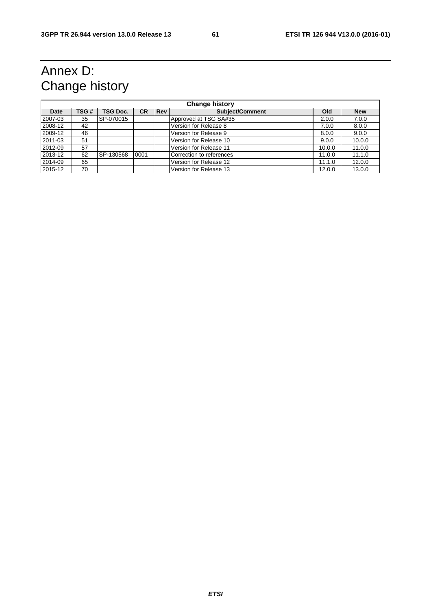## Annex D: Change history

| <b>Change history</b> |      |                 |           |            |                          |        |            |
|-----------------------|------|-----------------|-----------|------------|--------------------------|--------|------------|
| Date                  | TSG# | <b>TSG Doc.</b> | <b>CR</b> | <b>Rev</b> | <b>Subject/Comment</b>   | Old    | <b>New</b> |
| 2007-03               | 35   | SP-070015       |           |            | Approved at TSG SA#35    | 2.0.0  | 7.0.0      |
| 2008-12               | 42   |                 |           |            | Version for Release 8    | 7.0.0  | 8.0.0      |
| 2009-12               | 46   |                 |           |            | Version for Release 9    | 8.0.0  | 9.0.0      |
| 2011-03               | 51   |                 |           |            | Version for Release 10   | 9.0.0  | 10.0.0     |
| 2012-09               | 57   |                 |           |            | Version for Release 11   | 10.0.0 | 11.0.0     |
| 2013-12               | 62   | SP-130568       | 0001      |            | Correction to references | 11.0.0 | 11.1.0     |
| 2014-09               | 65   |                 |           |            | Version for Release 12   | 11.1.0 | 12.0.0     |
| 2015-12               | 70   |                 |           |            | Version for Release 13   | 12.0.0 | 13.0.0     |